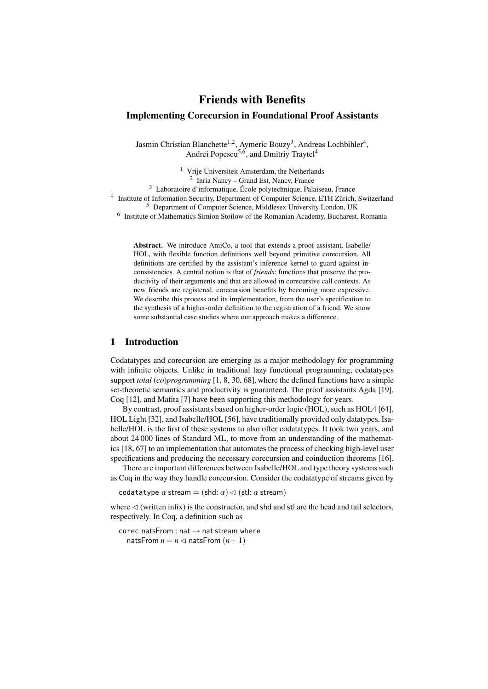# Friends with Benefits Implementing Corecursion in Foundational Proof Assistants

Jasmin Christian Blanchette<sup>1,2</sup>, Aymeric Bouzy<sup>3</sup>, Andreas Lochbihler<sup>4</sup>, Andrei Popescu<sup>5,6</sup>, and Dmitriy Traytel<sup>4</sup>

<sup>1</sup> Vrije Universiteit Amsterdam, the Netherlands 2 Inria Nancy – Grand Est, Nancy, France <sup>3</sup> Laboratoire d'informatique, École polytechnique, Palaiseau, France <sup>4</sup> Institute of Information Security, Department of Computer Science, ETH Zürich, Switzerland <sup>5</sup> Department of Computer Science, Middlesex University London, UK <sup>6</sup> Institute of Mathematics Simion Stoilow of the Romanian Academy, Bucharest, Romania

> Abstract. We introduce AmiCo, a tool that extends a proof assistant, Isabelle/ HOL, with flexible function definitions well beyond primitive corecursion. All definitions are certified by the assistant's inference kernel to guard against inconsistencies. A central notion is that of *friends*: functions that preserve the productivity of their arguments and that are allowed in corecursive call contexts. As new friends are registered, corecursion benefits by becoming more expressive. We describe this process and its implementation, from the user's specification to the synthesis of a higher-order definition to the registration of a friend. We show some substantial case studies where our approach makes a difference.

# 1 Introduction

Codatatypes and corecursion are emerging as a major methodology for programming with infinite objects. Unlike in traditional lazy functional programming, codatatypes support *total* (*co*)*programming* [\[1,](#page-23-0) [8,](#page-24-0) [30,](#page-25-0) [68\]](#page-26-0), where the defined functions have a simple set-theoretic semantics and productivity is guaranteed. The proof assistants Agda [\[19\]](#page-24-1), Coq [\[12\]](#page-24-2), and Matita [\[7\]](#page-24-3) have been supporting this methodology for years.

By contrast, proof assistants based on higher-order logic (HOL), such as HOL4 [\[64\]](#page-26-1), HOL Light [\[32\]](#page-25-1), and Isabelle/HOL [\[56\]](#page-26-2), have traditionally provided only datatypes. Isabelle/HOL is the first of these systems to also offer codatatypes. It took two years, and about 24 000 lines of Standard ML, to move from an understanding of the mathematics [\[18,](#page-24-4) [67\]](#page-26-3) to an implementation that automates the process of checking high-level user specifications and producing the necessary corecursion and coinduction theorems [\[16\]](#page-24-5).

There are important differences between Isabelle/HOL and type theory systems such as Coq in the way they handle corecursion. Consider the codatatype of streams given by

codatatype  $\alpha$  stream = (shd:  $\alpha$ )  $\lhd$  (stl:  $\alpha$  stream)

where  $\leq$  (written infix) is the constructor, and shd and stl are the head and tail selectors, respectively. In Coq, a definition such as

corec natsFrom : nat  $\rightarrow$  nat stream where natsFrom  $n = n \triangleleft$  natsFrom  $(n+1)$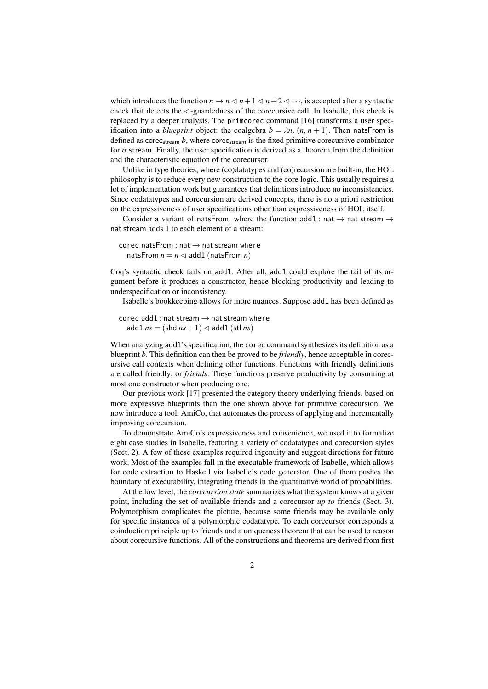which introduces the function  $n \mapsto n \leq n+1 \leq n+2 \leq \cdots$ , is accepted after a syntactic check that detects the  $\triangleleft$ -guardedness of the corecursive call. In Isabelle, this check is replaced by a deeper analysis. The primcorec command [\[16\]](#page-24-5) transforms a user specification into a *blueprint* object: the coalgebra  $b = \lambda n$ .  $(n, n + 1)$ . Then natsFrom is defined as corec<sub>stream</sub>  $b$ , where corec<sub>stream</sub> is the fixed primitive corecursive combinator for  $\alpha$  stream. Finally, the user specification is derived as a theorem from the definition and the characteristic equation of the corecursor.

Unlike in type theories, where (co)datatypes and (co)recursion are built-in, the HOL philosophy is to reduce every new construction to the core logic. This usually requires a lot of implementation work but guarantees that definitions introduce no inconsistencies. Since codatatypes and corecursion are derived concepts, there is no a priori restriction on the expressiveness of user specifications other than expressiveness of HOL itself.

Consider a variant of natsFrom, where the function add1 : nat  $\rightarrow$  nat stream  $\rightarrow$ nat stream adds 1 to each element of a stream:

corec natsFrom : nat  $\rightarrow$  nat stream where natsFrom  $n = n \leq 1$  add1 (natsFrom *n*)

Coq's syntactic check fails on add1. After all, add1 could explore the tail of its argument before it produces a constructor, hence blocking productivity and leading to underspecification or inconsistency.

Isabelle's bookkeeping allows for more nuances. Suppose add1 has been defined as

corec add1 : nat stream  $\rightarrow$  nat stream where add1  $ns = (shd ns + 1) \leq add1 (stl ns)$ 

When analyzing add1's specification, the corec command synthesizes its definition as a blueprint *b*. This definition can then be proved to be *friendly*, hence acceptable in corecursive call contexts when defining other functions. Functions with friendly definitions are called friendly, or *friends*. These functions preserve productivity by consuming at most one constructor when producing one.

Our previous work [\[17\]](#page-24-6) presented the category theory underlying friends, based on more expressive blueprints than the one shown above for primitive corecursion. We now introduce a tool, AmiCo, that automates the process of applying and incrementally improving corecursion.

To demonstrate AmiCo's expressiveness and convenience, we used it to formalize eight case studies in Isabelle, featuring a variety of codatatypes and corecursion styles (Sect. [2\)](#page-3-0). A few of these examples required ingenuity and suggest directions for future work. Most of the examples fall in the executable framework of Isabelle, which allows for code extraction to Haskell via Isabelle's code generator. One of them pushes the boundary of executability, integrating friends in the quantitative world of probabilities.

At the low level, the *corecursion state* summarizes what the system knows at a given point, including the set of available friends and a corecursor *up to* friends (Sect. [3\)](#page-11-0). Polymorphism complicates the picture, because some friends may be available only for specific instances of a polymorphic codatatype. To each corecursor corresponds a coinduction principle up to friends and a uniqueness theorem that can be used to reason about corecursive functions. All of the constructions and theorems are derived from first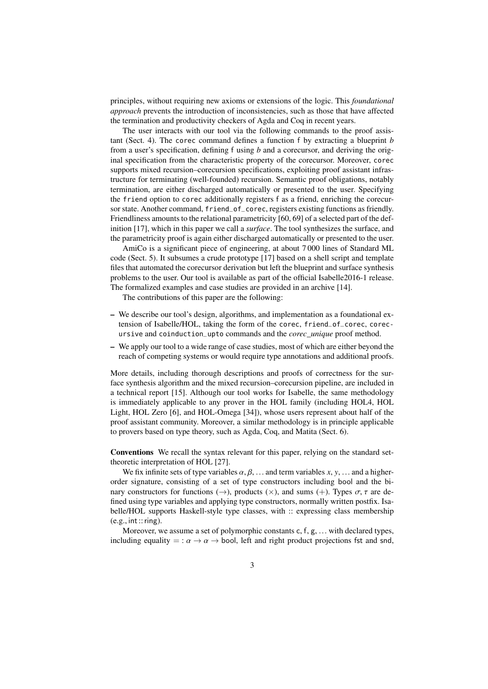principles, without requiring new axioms or extensions of the logic. This *foundational approach* prevents the introduction of inconsistencies, such as those that have affected the termination and productivity checkers of Agda and Coq in recent years.

The user interacts with our tool via the following commands to the proof assistant (Sect. [4\)](#page-16-0). The corec command defines a function f by extracting a blueprint *b* from a user's specification, defining f using *b* and a corecursor, and deriving the original specification from the characteristic property of the corecursor. Moreover, corec supports mixed recursion–corecursion specifications, exploiting proof assistant infrastructure for terminating (well-founded) recursion. Semantic proof obligations, notably termination, are either discharged automatically or presented to the user. Specifying the friend option to corec additionally registers f as a friend, enriching the corecursor state. Another command, friend\_of\_corec, registers existing functions as friendly. Friendliness amounts to the relational parametricity [\[60,](#page-26-4) [69\]](#page-26-5) of a selected part of the definition [\[17\]](#page-24-6), which in this paper we call a *surface*. The tool synthesizes the surface, and the parametricity proof is again either discharged automatically or presented to the user.

AmiCo is a significant piece of engineering, at about 7 000 lines of Standard ML code (Sect. [5\)](#page-20-0). It subsumes a crude prototype [\[17\]](#page-24-6) based on a shell script and template files that automated the corecursor derivation but left the blueprint and surface synthesis problems to the user. Our tool is available as part of the official Isabelle2016-1 release. The formalized examples and case studies are provided in an archive [\[14\]](#page-24-7).

The contributions of this paper are the following:

- We describe our tool's design, algorithms, and implementation as a foundational extension of Isabelle/HOL, taking the form of the corec, friend\_of\_corec, corecursive and coinduction\_upto commands and the *corec\_unique* proof method.
- We apply our tool to a wide range of case studies, most of which are either beyond the reach of competing systems or would require type annotations and additional proofs.

More details, including thorough descriptions and proofs of correctness for the surface synthesis algorithm and the mixed recursion–corecursion pipeline, are included in a technical report [\[15\]](#page-24-8). Although our tool works for Isabelle, the same methodology is immediately applicable to any prover in the HOL family (including HOL4, HOL Light, HOL Zero [\[6\]](#page-24-9), and HOL-Omega [\[34\]](#page-25-2)), whose users represent about half of the proof assistant community. Moreover, a similar methodology is in principle applicable to provers based on type theory, such as Agda, Coq, and Matita (Sect. [6\)](#page-20-1).

Conventions We recall the syntax relevant for this paper, relying on the standard settheoretic interpretation of HOL [\[27\]](#page-25-3).

We fix infinite sets of type variables  $\alpha, \beta, \ldots$  and term variables  $x, y, \ldots$  and a higherorder signature, consisting of a set of type constructors including bool and the binary constructors for functions ( $\rightarrow$ ), products ( $\times$ ), and sums (+). Types  $\sigma$ ,  $\tau$  are defined using type variables and applying type constructors, normally written postfix. Isabelle/HOL supports Haskell-style type classes, with :: expressing class membership  $(e.g., int::ring).$ 

Moreover, we assume a set of polymorphic constants <sup>c</sup>, <sup>f</sup>, <sup>g</sup>, ... with declared types, including equality = :  $\alpha \rightarrow \alpha \rightarrow$  bool, left and right product projections fst and snd,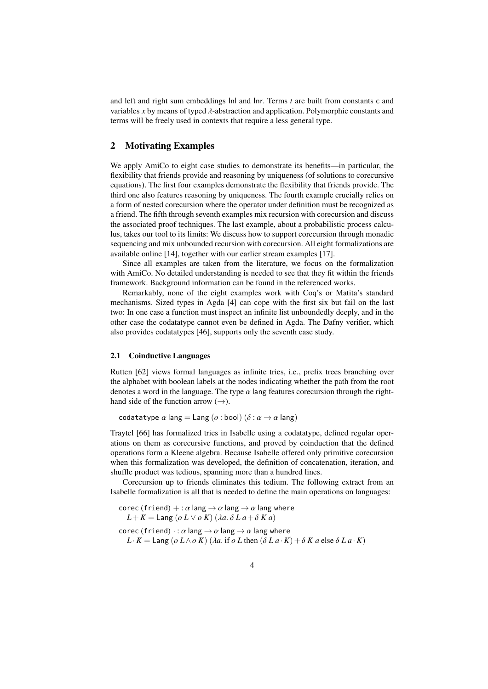and left and right sum embeddings Inl and Inr. Terms *t* are built from constants c and variables *<sup>x</sup>* by means of typed λ-abstraction and application. Polymorphic constants and terms will be freely used in contexts that require a less general type.

# <span id="page-3-0"></span>2 Motivating Examples

We apply AmiCo to eight case studies to demonstrate its benefits—in particular, the flexibility that friends provide and reasoning by uniqueness (of solutions to corecursive equations). The first four examples demonstrate the flexibility that friends provide. The third one also features reasoning by uniqueness. The fourth example crucially relies on a form of nested corecursion where the operator under definition must be recognized as a friend. The fifth through seventh examples mix recursion with corecursion and discuss the associated proof techniques. The last example, about a probabilistic process calculus, takes our tool to its limits: We discuss how to support corecursion through monadic sequencing and mix unbounded recursion with corecursion. All eight formalizations are available online [\[14\]](#page-24-7), together with our earlier stream examples [\[17\]](#page-24-6).

Since all examples are taken from the literature, we focus on the formalization with AmiCo. No detailed understanding is needed to see that they fit within the friends framework. Background information can be found in the referenced works.

Remarkably, none of the eight examples work with Coq's or Matita's standard mechanisms. Sized types in Agda [\[4\]](#page-23-1) can cope with the first six but fail on the last two: In one case a function must inspect an infinite list unboundedly deeply, and in the other case the codatatype cannot even be defined in Agda. The Dafny verifier, which also provides codatatypes [\[46\]](#page-25-4), supports only the seventh case study.

#### <span id="page-3-1"></span>2.1 Coinductive Languages

Rutten [\[62\]](#page-26-6) views formal languages as infinite tries, i.e., prefix trees branching over the alphabet with boolean labels at the nodes indicating whether the path from the root denotes a word in the language. The type  $\alpha$  lang features corecursion through the righthand side of the function arrow  $(\rightarrow)$ .

codatatype  $\alpha$  lang = Lang ( $\alpha$  : bool) ( $\delta$  :  $\alpha \rightarrow \alpha$  lang)

Traytel [\[66\]](#page-26-7) has formalized tries in Isabelle using a codatatype, defined regular operations on them as corecursive functions, and proved by coinduction that the defined operations form a Kleene algebra. Because Isabelle offered only primitive corecursion when this formalization was developed, the definition of concatenation, iteration, and shuffle product was tedious, spanning more than a hundred lines.

Corecursion up to friends eliminates this tedium. The following extract from an Isabelle formalization is all that is needed to define the main operations on languages:

corec (friend) + :  $\alpha$  lang  $\rightarrow \alpha$  lang  $\rightarrow \alpha$  lang where  $L + K =$  Lang (*o*  $L \vee o K$ ) ( $\lambda a. \delta L a + \delta K a$ ) corec (friend)  $\cdot : \alpha$  lang  $\rightarrow \alpha$  lang  $\rightarrow \alpha$  lang where  $L \cdot K =$  Lang ( $o \ L \wedge o \ K$ ) ( $\lambda a$ . if  $o \ L$  then ( $\delta L a \cdot K$ ) +  $\delta K a$  else  $\delta L a \cdot K$ )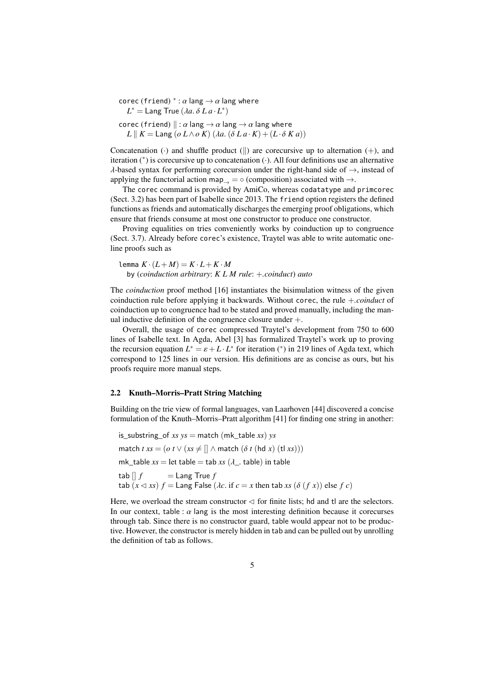corec (friend)  $^*$ :  $\alpha$  lang  $\rightarrow \alpha$  lang where<br>  $I^*$  – Lang True (*La δ* La, I<sup>\*</sup>)  $L^* =$  Lang True  $(\lambda a.\ \delta\ L\ a\cdot L^*)$ corec (friend)  $\parallel : \alpha \text{ lang} \rightarrow \alpha \text{ lang} \rightarrow \alpha \text{ lang where}$  $L \parallel K =$  Lang (*o*  $L \wedge o K$ ) ( $\lambda a$ . ( $\delta L a \cdot K$ ) + ( $L \cdot \delta K a$ ))

Concatenation  $\left(\cdot\right)$  and shuffle product  $\left(\left\|\right\|$  are corecursive up to alternation  $\left(+\right)$ , and iteration (<sup>∗</sup> ) is corecursive up to concatenation (·). All four definitions use an alternative λ-based syntax for performing corecursion under the right-hand side of  $→$ , instead of applying the functorial action map $\rightarrow$  =  $\circ$  (composition) associated with  $\rightarrow$ .

The corec command is provided by AmiCo, whereas codatatype and primcorec (Sect. [3.2\)](#page-11-1) has been part of Isabelle since 2013. The friend option registers the defined functions as friends and automatically discharges the emerging proof obligations, which ensure that friends consume at most one constructor to produce one constructor.

Proving equalities on tries conveniently works by coinduction up to congruence (Sect. [3.7\)](#page-15-0). Already before corec's existence, Traytel was able to write automatic oneline proofs such as

lemma  $K \cdot (L + M) = K \cdot L + K \cdot M$ by (*coinduction arbitrary*: *K L M rule*: +*.coinduct*) *auto*

The *coinduction* proof method [\[16\]](#page-24-5) instantiates the bisimulation witness of the given coinduction rule before applying it backwards. Without corec, the rule +*.coinduct* of coinduction up to congruence had to be stated and proved manually, including the manual inductive definition of the congruence closure under +.

Overall, the usage of corec compressed Traytel's development from 750 to 600 lines of Isabelle text. In Agda, Abel [\[3\]](#page-23-2) has formalized Traytel's work up to proving the recursion equation  $L^* = \varepsilon + L \cdot L^*$  for iteration (<sup>\*</sup>) in 219 lines of Agda text, which<br>correspond to 125 lines in our version. His definitions are as concise as ours, but his correspond to 125 lines in our version. His definitions are as concise as ours, but his proofs require more manual steps.

#### 2.2 Knuth–Morris–Pratt String Matching

Building on the trie view of formal languages, van Laarhoven [\[44\]](#page-25-5) discovered a concise formulation of the Knuth–Morris–Pratt algorithm [\[41\]](#page-25-6) for finding one string in another:

is substring of *xs*  $ys =$  match (mk table *xs*)  $ys$ match  $txs = (o t \lor (xs \neq [] \land match (\delta t (hd x) (tl xs)))$ mk\_table  $xs =$  let table = tab  $xs (\lambda_-.$  table) in table<br>tab  $\begin{bmatrix} 1 & f \end{bmatrix}$  = Lang True  $f$  $=$  Lang True  $f$ tab  $(x \triangleleft xs)$   $f =$  Lang False  $(\lambda c$ . if  $c = x$  then tab  $xs$   $(\delta(f x))$  else  $f c$ )

Here, we overload the stream constructor  $\triangleleft$  for finite lists; hd and tl are the selectors. In our context, table :  $\alpha$  lang is the most interesting definition because it corecurses through tab. Since there is no constructor guard, table would appear not to be productive. However, the constructor is merely hidden in tab and can be pulled out by unrolling the definition of tab as follows.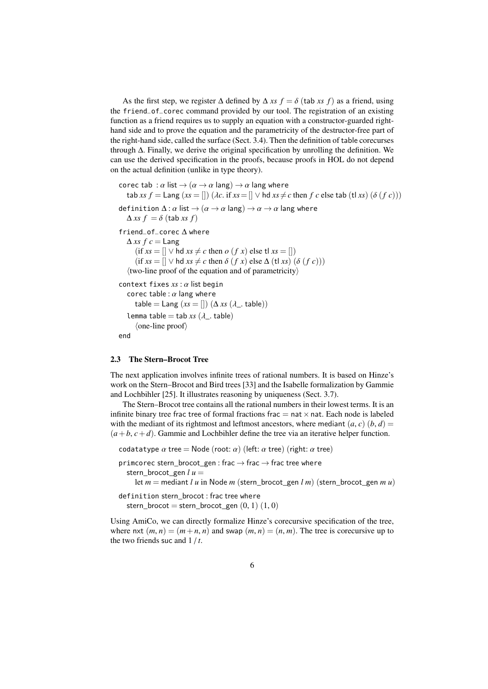As the first step, we register  $\Delta$  defined by  $\Delta$  *xs*  $f = \delta$  (tab *xs f*) as a friend, using the friend\_of\_corec command provided by our tool. The registration of an existing function as a friend requires us to supply an equation with a constructor-guarded righthand side and to prove the equation and the parametricity of the destructor-free part of the right-hand side, called the surface (Sect. [3.4\)](#page-13-0). Then the definition of table corecurses through ∆. Finally, we derive the original specification by unrolling the definition. We can use the derived specification in the proofs, because proofs in HOL do not depend on the actual definition (unlike in type theory).

```
corec tab : \alpha list \rightarrow (\alpha \rightarrow \alpha lang) \rightarrow \alpha lang where
   \text{tab } xs \ f = \text{Lang } (xs = [] ) \ (\lambda c \text{. if } xs = [] \lor \text{hd } xs \neq c \text{ then } f \ c \text{ else } \text{tab } (\text{tl } xs) \ (\delta \ (f \ c)))definition \Delta: \alpha list \rightarrow (\alpha \rightarrow \alpha \text{ lang}) \rightarrow \alpha \rightarrow \alpha lang where
   \Deltaxs f = \delta (tab xs f)
friend_of_corec ∆ where
   \Deltaxs fc = Lang
        (\text{if } xs = [] \lor \text{hd } xs \neq c \text{ then } o \ (f \ x) \ \text{else } \text{tl } xs = [])(\text{if } xs = [] \lor \text{hd } xs \neq c \text{ then } \delta (fx) \text{ else } \Delta (\text{tl } xs) (\delta (fc)))\langletwo-line proof of the equation and of parametricity\ranglecontext fixes xs : α list begin
    corec table : \alpha lang where
       table = Lang (xs = [])(\Delta xs (\lambda_-\text{. table}))lemma table = tab xs(\lambda). table)
        \langleone-line proof\rangleend
```
#### 2.3 The Stern–Brocot Tree

The next application involves infinite trees of rational numbers. It is based on Hinze's work on the Stern–Brocot and Bird trees [\[33\]](#page-25-7) and the Isabelle formalization by Gammie and Lochbihler [\[25\]](#page-24-10). It illustrates reasoning by uniqueness (Sect. [3.7\)](#page-15-0).

The Stern–Brocot tree contains all the rational numbers in their lowest terms. It is an infinite binary tree frac tree of formal fractions frac  $=$  nat  $\times$  nat. Each node is labeled with the mediant of its rightmost and leftmost ancestors, where mediant  $(a, c)$   $(b, d)$  =  $(a+b, c+d)$ . Gammie and Lochbihler define the tree via an iterative helper function.

```
codatatype \alpha tree = Node (root: \alpha) (left: \alpha tree) (right: \alpha tree)
```
primcorec stern\_brocot\_gen : frac  $\rightarrow$  frac  $\rightarrow$  frac tree where stern brocot gen  $l u =$ 

let  $m =$  mediant *lu* in Node *m* (stern brocot gen *l m*) (stern brocot gen *mu*)

definition stern\_brocot : frac tree where stern\_brocot = stern\_brocot\_gen  $(0, 1)$   $(1, 0)$ 

Using AmiCo, we can directly formalize Hinze's corecursive specification of the tree, where nxt  $(m, n) = (m+n, n)$  and swap  $(m, n) = (n, m)$ . The tree is corecursive up to the two friends suc and 1 / *<sup>t</sup>*.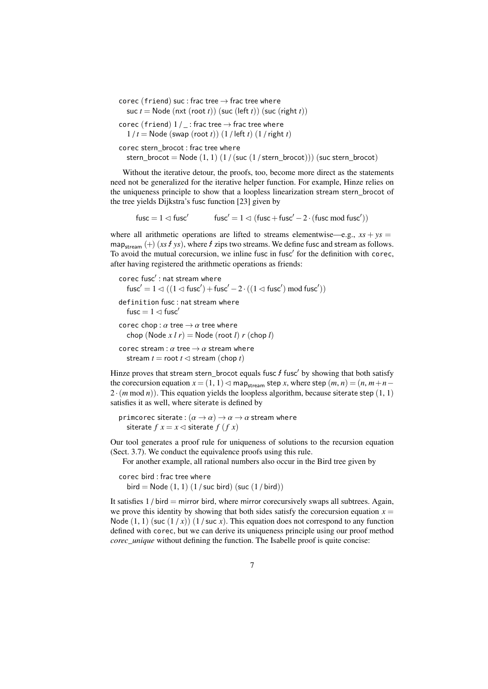corec (friend) suc : frac tree  $\rightarrow$  frac tree where suc  $t =$  Node (nxt (root  $t$ )) (suc (left  $t$ )) (suc (right  $t$ ))

corec (friend)  $1 / _ -$ : frac tree  $\rightarrow$  frac tree where  $1/t =$  Node (swap (root *t*))  $(1/$  left *t*)  $(1/right t)$ 

corec stern\_brocot : frac tree where

stern\_brocot = Node  $(1, 1)$   $(1 / (suc (1 / stern_brocot)))$  (suc stern\_brocot)

Without the iterative detour, the proofs, too, become more direct as the statements need not be generalized for the iterative helper function. For example, Hinze relies on the uniqueness principle to show that a loopless linearization stream stern\_brocot of the tree yields Dijkstra's fusc function [\[23\]](#page-24-11) given by

 $fusc = 1 \triangleleft fusc'$  $fusc' = 1 \triangleleft (fusc + fusc' - 2 \cdot (fusc \mod fusc'))$ 

where all arithmetic operations are lifted to streams elementwise—e.g.,  $xs + ys =$ map<sub>stream</sub> (+) (*xs E ys*), where *E* zips two streams. We define fusc and stream as follows. To avoid the mutual corecursion, we inline fusc in fusc' for the definition with corec, after having registered the arithmetic operations as friends:

```
corec fusc': nat stream where
   fusc' = 1 \lhd ((1 \lhd \text{fusc}') + \text{fusc}' - 2 \cdot ((1 \lhd \text{fusc}') \text{ mod } \text{fusc}'))definition fusc : nat stream where
   fusc = 1 \triangleleft fusc<sup>'</sup>
corec chop : \alpha tree \rightarrow \alpha tree where
   chop (Node x l r) = Node (root l) r (chop l)
corec stream : \alpha tree \rightarrow \alpha stream where
   stream t = root t \leq stream (chop t)
```
Hinze proves that stream stern\_brocot equals fusc  $f$  fusc' by showing that both satisfy the corecursion equation  $x = (1, 1) \triangleleft \text{map}_{\text{stream}}$  step *x*, where step  $(m, n) = (n, m+n-1)$  $2 \cdot (m \mod n)$ . This equation yields the loopless algorithm, because siterate step  $(1, 1)$ satisfies it as well, where siterate is defined by

primcorec siterate:  $(\alpha \rightarrow \alpha) \rightarrow \alpha \rightarrow \alpha$  stream where siterate  $f x = x \le$  siterate  $f (f x)$ 

Our tool generates a proof rule for uniqueness of solutions to the recursion equation (Sect. [3.7\)](#page-15-0). We conduct the equivalence proofs using this rule.

For another example, all rational numbers also occur in the Bird tree given by

```
corec bird : frac tree where
  bird = Node (1, 1) (1 / suc bird) (\text{succ}(1/\text{bird}))
```
It satisfies  $1/$  bird  $=$  mirror bird, where mirror corecursively swaps all subtrees. Again, we prove this identity by showing that both sides satisfy the corecursion equation  $x =$ Node  $(1, 1)$  (suc  $(1/x)$ )  $(1/x)$  and  $x$ ). This equation does not correspond to any function defined with corec, but we can derive its uniqueness principle using our proof method *corec\_unique* without defining the function. The Isabelle proof is quite concise: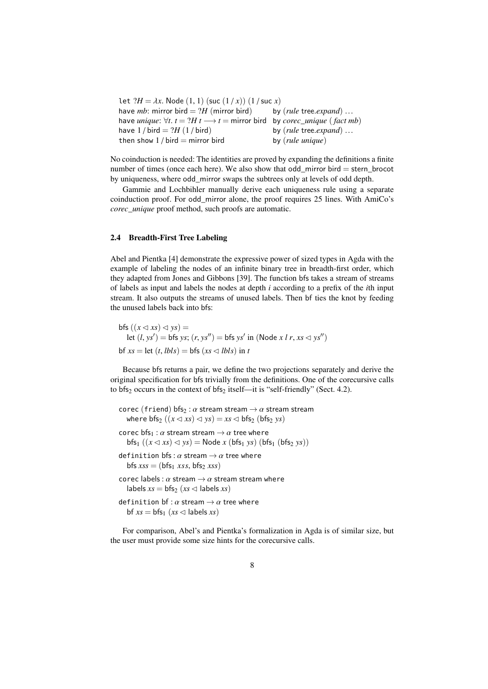| let $?H = \lambda x$ . Node $(1, 1)$ (suc $(1/x)$ ) $(1/suc x)$                                                           |                                            |
|---------------------------------------------------------------------------------------------------------------------------|--------------------------------------------|
| have <i>mb</i> : mirror bird = $?H$ (mirror bird)                                                                         | by $(\text{rule tree}.\text{expand})\dots$ |
| have <i>unique</i> : $\forall t$ . $t = ?H$ $t \longrightarrow t =$ mirror bird by <i>corec_unique</i> ( <i>fact mb</i> ) |                                            |
| have $1/bird = ?H (1/bird)$                                                                                               | by $(\text{rule tree}.\text{expand})\dots$ |
| then show $1/bird = mirror bird$                                                                                          | by $(\text{rule} \text{ unique})$          |
|                                                                                                                           |                                            |

No coinduction is needed: The identities are proved by expanding the definitions a finite number of times (once each here). We also show that odd\_mirror bird = stern\_brocot by uniqueness, where odd\_mirror swaps the subtrees only at levels of odd depth.

Gammie and Lochbihler manually derive each uniqueness rule using a separate coinduction proof. For odd\_mirror alone, the proof requires 25 lines. With AmiCo's *corec\_unique* proof method, such proofs are automatic.

#### <span id="page-7-0"></span>2.4 Breadth-First Tree Labeling

Abel and Pientka [\[4\]](#page-23-1) demonstrate the expressive power of sized types in Agda with the example of labeling the nodes of an infinite binary tree in breadth-first order, which they adapted from Jones and Gibbons [\[39\]](#page-25-8). The function bfs takes a stream of streams of labels as input and labels the nodes at depth *i* according to a prefix of the *i*th input stream. It also outputs the streams of unused labels. Then bf ties the knot by feeding the unused labels back into bfs:

 $bfs ((x \triangleleft xs) \triangleleft ys) =$ let  $(l, ys') = bfs ys; (r, ys'') = bfs ys' in (Node x l r, xs < y s'')$  $bf x s = \text{let } (t, \text{ } \text{lb} \text{ls}) = \text{bfs} (xs \leq \text{lb} \text{ls}) \text{ in } t$ 

Because bfs returns a pair, we define the two projections separately and derive the original specification for bfs trivially from the definitions. One of the corecursive calls to bfs<sub>2</sub> occurs in the context of bfs<sub>2</sub> itself—it is "self-friendly" (Sect. [4.2\)](#page-18-0).

```
corec (friend) bfs<sub>2</sub> : \alpha stream stream \rightarrow \alpha stream stream
  where bfs_2 ((x \triangleleft xs) \triangleleft ys) = xs \triangleleft bfs_2 (bfs_2 ys))
corec bfs_1 : \alpha stream stream \rightarrow \alpha tree where
   bfs_1 ((x \triangleleft xs) \triangleleft ys) = Node x (bfs_1 ys) (bfs_1 (bfs_2 ys))definition bfs: \alpha stream \rightarrow \alpha tree where
   bfs xs = (bfs_1 xss, bfs_2 xss)corec labels : \alpha stream \rightarrow \alpha stream stream where
   labels xs = bfs (xs \leq labels xs)
definition bf: \alpha stream \rightarrow \alpha tree where
   bf xs = bfs_1 (xs \leq labels xs)
```
For comparison, Abel's and Pientka's formalization in Agda is of similar size, but the user must provide some size hints for the corecursive calls.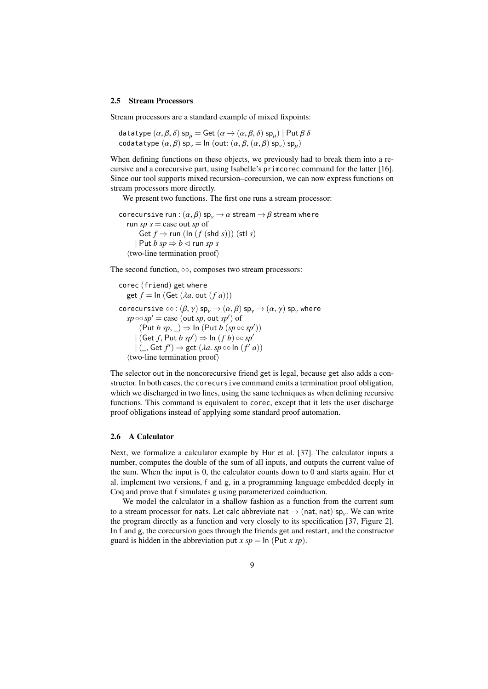#### 2.5 Stream Processors

Stream processors are a standard example of mixed fixpoints:

datatype  $(\alpha, \beta, \delta)$  sp<sub>µ</sub> = Get  $(\alpha \rightarrow (\alpha, \beta, \delta)$  sp<sub>µ</sub> $)$  | Put  $\beta \delta$ <br>codatatype  $(\alpha, \beta)$  sp = Ip (out:  $(\alpha, \beta, (\alpha, \beta)$  sp) sp) codatatype  $(\alpha, \beta)$  sp<sub>v</sub> = ln (out:  $(\alpha, \beta, (\alpha, \beta)$  sp<sub>v</sub>) sp<sub>µ</sub>)

When defining functions on these objects, we previously had to break them into a recursive and a corecursive part, using Isabelle's primcorec command for the latter [\[16\]](#page-24-5). Since our tool supports mixed recursion–corecursion, we can now express functions on stream processors more directly.

 $\overline{a}$ 

We present two functions. The first one runs a stream processor:

```
corecursive run : (\alpha, \beta) sp<sub>v</sub> \rightarrow \alpha stream \rightarrow \beta stream where
    run sp s = \text{case out } sp \text{ of }Get f \Rightarrow run (\ln (f(\text{shd } s))) (stl s)
         \vert Put b \mathfrak{so} \Rightarrow \mathfrak{b} \triangleleft \text{ run } \mathfrak{so} \mathfrak{s}\langletwo-line termination proof\rangle
```
The second function, ∘∘, composes two stream processors:

```
corec (friend) get where
     get f = \ln (\text{Get } (\lambda a, \text{ out } (f a)))corecursive \circ \circ : (\beta, \gamma) sp<sub>v</sub> \rightarrow (\alpha, \beta) sp<sub>v</sub> \rightarrow (\alpha, \gamma) sp<sub>v</sub> where
       s p \circ s p' = \text{case} (\text{out } sp, \text{out } sp') of<br>
\left( \begin{array}{c} \text{Put } h \text{ s}p \\ \text{or } h \end{array} \right) \rightarrow \text{In} (\text{Put } h \text{ s}p)(\text{Put } b \text{ sp}, \_) \Rightarrow \ln (\text{Put } b \text{ (sp \circ o \text{ sp}'))<br>
(\text{Get } f \text{ Put } b \text{ sn}') \rightarrow \ln (f \text{ h}) \circ \text{on} \text{ sn}'| (Get f, Put b sp') \Rightarrow In (f b) \circ \circ sp'<br>| (Cet f') \Rightarrow get (lg speed n (f')
              | \left( \right), Get f' \right) \Rightarrow get (\lambda a. sp \circ \circ \ln (f' a))\langletwo-line termination proof\rangle
```
The selector out in the noncorecursive friend get is legal, because get also adds a constructor. In both cases, the corecursive command emits a termination proof obligation, which we discharged in two lines, using the same techniques as when defining recursive functions. This command is equivalent to corec, except that it lets the user discharge proof obligations instead of applying some standard proof automation.

# 2.6 A Calculator

Next, we formalize a calculator example by Hur et al. [\[37\]](#page-25-9). The calculator inputs a number, computes the double of the sum of all inputs, and outputs the current value of the sum. When the input is 0, the calculator counts down to 0 and starts again. Hur et al. implement two versions, f and g, in a programming language embedded deeply in Coq and prove that f simulates g using parameterized coinduction.

We model the calculator in a shallow fashion as a function from the current sum to a stream processor for nats. Let calc abbreviate nat  $\rightarrow$  (nat, nat) sp<sub>y</sub>. We can write<br>the program directly as a function and very closely to its specification [37] Figure 21 the program directly as a function and very closely to its specification [\[37,](#page-25-9) Figure 2]. In f and g, the corecursion goes through the friends get and restart, and the constructor guard is hidden in the abbreviation put  $x sp = \ln (\text{Put } x sp)$ .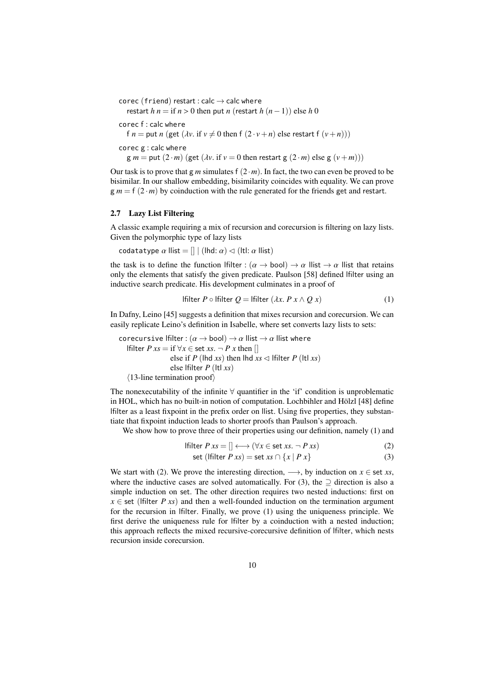```
corec (friend) restart : calc \rightarrow calc where
   restart h n = if n > 0 then put n (restart h (n-1)) else h 0corec f : calc where
  f n = put n (get (\lambda v. if v \neq 0 then f (2 \cdot v + n) else restart f (v+n)))
corec g : calc where
   g m = \text{put} (2 \cdot m) (\text{get } (\lambda v \cdot \text{if } v = 0 \text{ then restart } g (2 \cdot m) \text{ else } g (v + m)))
```
Our task is to prove that g *m* simulates f  $(2 \cdot m)$ . In fact, the two can even be proved to be bisimilar. In our shallow embedding, bisimilarity coincides with equality. We can prove  $g m = f (2 \cdot m)$  by coinduction with the rule generated for the friends get and restart.

### <span id="page-9-3"></span>2.7 Lazy List Filtering

A classic example requiring a mix of recursion and corecursion is filtering on lazy lists. Given the polymorphic type of lazy lists

codatatype  $\alpha$  llist =  $\left[ \right]$  | (lhd:  $\alpha$ )  $\lhd$  (ltl:  $\alpha$  llist)

the task is to define the function lfilter :  $(\alpha \rightarrow \text{bool}) \rightarrow \alpha$  llist  $\rightarrow \alpha$  llist that retains only the elements that satisfy the given predicate. Paulson [\[58\]](#page-26-8) defined lfilter using an inductive search predicate. His development culminates in a proof of

<span id="page-9-0"></span>If 
$$
P \circ \text{Hitter } Q = \text{Hitter } (\lambda x. P x \wedge Q x) \tag{1}
$$

In Dafny, Leino [\[45\]](#page-25-10) suggests a definition that mixes recursion and corecursion. We can easily replicate Leino's definition in Isabelle, where set converts lazy lists to sets:

corecursive lfilter :  $(\alpha \rightarrow \text{bool}) \rightarrow \alpha$  llist  $\rightarrow \alpha$  llist where lfilter *P xs* = if  $\forall x \in$  set *xs*. ¬ *P x* then [] else if *P* (lhd *xs*) then lhd  $xs \leq$  lfilter *P* (ltl *xs*) else lfilter *P* (ltl *xs*)  $\langle$ 13-line termination proof $\rangle$ 

The nonexecutability of the infinite  $\forall$  quantifier in the 'if' condition is unproblematic in HOL, which has no built-in notion of computation. Lochbihler and Hölzl [\[48\]](#page-25-11) define lfilter as a least fixpoint in the prefix order on llist. Using five properties, they substantiate that fixpoint induction leads to shorter proofs than Paulson's approach.

We show how to prove three of their properties using our definition, namely [\(1\)](#page-9-0) and

$$
[filter P xs = [] \longleftrightarrow (\forall x \in \text{set } xs. \neg P xs)
$$
\n
$$
ext (Filter P ws) = ext (us G [u] P x)
$$
\n(2)

<span id="page-9-2"></span><span id="page-9-1"></span>
$$
\text{set (Hilter } P \, xs) = \text{set } xs \cap \{x \mid P \, x\} \tag{3}
$$

We start with [\(2\)](#page-9-1). We prove the interesting direction,  $\longrightarrow$ , by induction on  $x \in$  set *xs*, where the inductive cases are solved automatically. For [\(3\)](#page-9-2), the  $\supset$  direction is also a simple induction on set. The other direction requires two nested inductions: first on  $x \in$  set (lfilter *P xs*) and then a well-founded induction on the termination argument for the recursion in lfilter. Finally, we prove [\(1\)](#page-9-0) using the uniqueness principle. We first derive the uniqueness rule for lfilter by a coinduction with a nested induction; this approach reflects the mixed recursive-corecursive definition of lfilter, which nests recursion inside corecursion.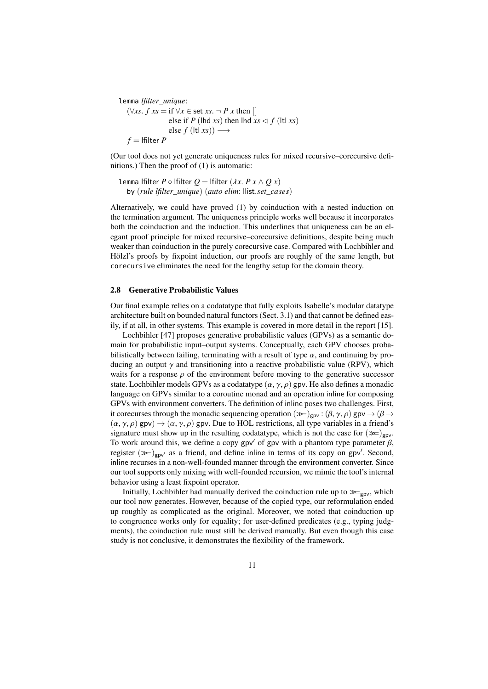```
lemma lfilter_unique:
   (\forallxs. f xs = if \forallx ∈ set xs. ¬ P x then []
                  else if P (lhd xs) then lhd xs \leq f (ltl xs)
                  else f (ltl xs)) \longrightarrowf =Ifilter P
```
(Our tool does not yet generate uniqueness rules for mixed recursive–corecursive definitions.) Then the proof of [\(1\)](#page-9-0) is automatic:

Lemma! filter 
$$
P \circ
$$
! filter  $Q =$ ! filter  $(\lambda x. P x \wedge Q x)$  by (rule! filter\\_unique) (auto.  $elim: \text{llist.set\_cases})$ 

Alternatively, we could have proved [\(1\)](#page-9-0) by coinduction with a nested induction on the termination argument. The uniqueness principle works well because it incorporates both the coinduction and the induction. This underlines that uniqueness can be an elegant proof principle for mixed recursive–corecursive definitions, despite being much weaker than coinduction in the purely corecursive case. Compared with Lochbihler and Hölzl's proofs by fixpoint induction, our proofs are roughly of the same length, but corecursive eliminates the need for the lengthy setup for the domain theory.

# <span id="page-10-0"></span>2.8 Generative Probabilistic Values

Our final example relies on a codatatype that fully exploits Isabelle's modular datatype architecture built on bounded natural functors (Sect. [3.1\)](#page-11-2) and that cannot be defined easily, if at all, in other systems. This example is covered in more detail in the report [\[15\]](#page-24-8).

Lochbihler [\[47\]](#page-25-12) proposes generative probabilistic values (GPVs) as a semantic domain for probabilistic input–output systems. Conceptually, each GPV chooses probabilistically between failing, terminating with a result of type  $\alpha$ , and continuing by producing an output  $\gamma$  and transitioning into a reactive probabilistic value (RPV), which waits for a response  $\rho$  of the environment before moving to the generative successor state. Lochbihler models GPVs as a codatatype  $(\alpha, \gamma, \rho)$  gpv. He also defines a monadic language on GPVs similar to a coroutine monad and an operation inline for composing GPVs with environment converters. The definition of inline poses two challenges. First, it corecurses through the monadic sequencing operation ( $\gg$ )<sub>gpv</sub> : ( $\beta$ ,  $\gamma$ ,  $\rho$ ) gpv  $\rightarrow$  ( $\beta$   $\rightarrow$  $(\alpha, \gamma, \rho)$  gpv)  $\rightarrow (\alpha, \gamma, \rho)$  gpv. Due to HOL restrictions, all type variables in a friend's signature must show up in the resulting codatatype, which is not the case for  $(\ggg)_{\text{gpv}}$ . To work around this, we define a copy gpv' of gpv with a phantom type parameter  $\beta$ , register  $(\gg)_{\text{gpv}}$  as a friend, and define inline in terms of its copy on gpv'. Second, in integration is a non-well-founded manner through the environment converter. Since inline recurses in a non-well-founded manner through the environment converter. Since our tool supports only mixing with well-founded recursion, we mimic the tool's internal behavior using a least fixpoint operator.

Initially, Lochbihler had manually derived the coinduction rule up to  $\ggg_{\text{gpv}}$ , which our tool now generates. However, because of the copied type, our reformulation ended up roughly as complicated as the original. Moreover, we noted that coinduction up to congruence works only for equality; for user-defined predicates (e.g., typing judgments), the coinduction rule must still be derived manually. But even though this case study is not conclusive, it demonstrates the flexibility of the framework.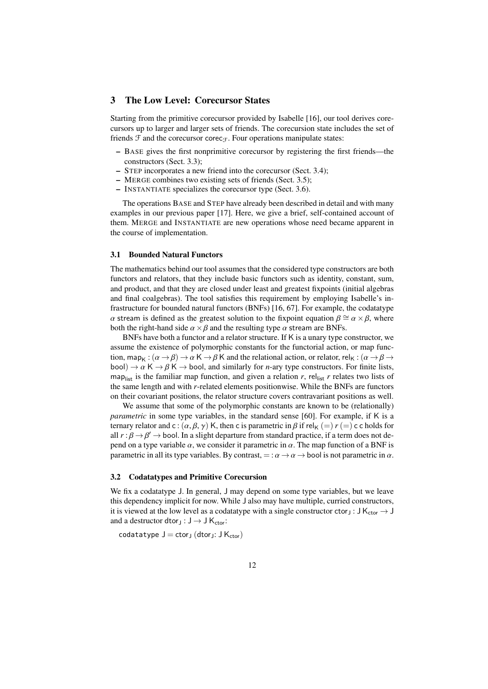# <span id="page-11-0"></span>3 The Low Level: Corecursor States

Starting from the primitive corecursor provided by Isabelle [\[16\]](#page-24-5), our tool derives corecursors up to larger and larger sets of friends. The corecursion state includes the set of friends  $\mathcal F$  and the corecursor corec $\mathfrak F$ . Four operations manipulate states:

- BASE gives the first nonprimitive corecursor by registering the first friends—the constructors (Sect. [3.3\)](#page-12-0);
- STEP incorporates a new friend into the corecursor (Sect. [3.4\)](#page-13-0);
- MERGE combines two existing sets of friends (Sect. [3.5\)](#page-14-0);
- INSTANTIATE specializes the corecursor type (Sect. [3.6\)](#page-14-1).

The operations BASE and STEP have already been described in detail and with many examples in our previous paper [\[17\]](#page-24-6). Here, we give a brief, self-contained account of them. MERGE and INSTANTIATE are new operations whose need became apparent in the course of implementation.

## <span id="page-11-2"></span>3.1 Bounded Natural Functors

The mathematics behind our tool assumes that the considered type constructors are both functors and relators, that they include basic functors such as identity, constant, sum, and product, and that they are closed under least and greatest fixpoints (initial algebras and final coalgebras). The tool satisfies this requirement by employing Isabelle's infrastructure for bounded natural functors (BNFs) [\[16,](#page-24-5) [67\]](#page-26-3). For example, the codatatype α stream is defined as the greatest solution to the fixpoint equation  $\beta \cong \alpha \times \beta$ , where both the right-hand side  $\alpha \times \beta$  and the resulting type  $\alpha$  stream are BNFs.

BNFs have both a functor and a relator structure. If K is a unary type constructor, we assume the existence of polymorphic constants for the functorial action, or map function, map<sub>K</sub>:  $(\alpha \to \beta) \to \alpha K \to \beta K$  and the relational action, or relator, rel<sub>K</sub>:  $(\alpha \to \beta \to \gamma K)$ bool)  $\rightarrow \alpha$  K  $\rightarrow \beta$  K  $\rightarrow$  bool, and similarly for *n*-ary type constructors. For finite lists, map<sub>list</sub> is the familiar map function, and given a relation  $r$ , rel<sub>list</sub>  $r$  relates two lists of the same length and with *r*-related elements positionwise. While the BNFs are functors on their covariant positions, the relator structure covers contravariant positions as well.

We assume that some of the polymorphic constants are known to be (relationally) *parametric* in some type variables, in the standard sense [\[60\]](#page-26-4). For example, if K is a ternary relator and c :  $(\alpha, \beta, \gamma)$  K, then c is parametric in  $\beta$  if rel<sub>K</sub> (=)  $r$  (=) c c holds for all  $r : \beta \to \beta' \to$  bool. In a slight departure from standard practice, if a term does not depend on a type variable  $\alpha$ , we consider it parametric in  $\alpha$ . The map function of a BNF is pend on a type variable  $\alpha$ , we consider it parametric in  $\alpha$ . The map function of a BNF is parametric in all its type variables. By contrast,  $=:\alpha \rightarrow \alpha \rightarrow$  bool is not parametric in  $\alpha$ .

#### <span id="page-11-1"></span>3.2 Codatatypes and Primitive Corecursion

We fix a codatatype J. In general, J may depend on some type variables, but we leave this dependency implicit for now. While J also may have multiple, curried constructors, it is viewed at the low level as a codatatype with a single constructor ctor<sub>J</sub> : J K<sub>ctor</sub>  $\rightarrow$  J and a destructor dtor<sub>J</sub> :  $J \rightarrow J K_{\text{ctor}}$ :

codatatype  $J = c$ tor<sub>J</sub> (dtor<sub>J</sub>:  $J K_{ctor}$ )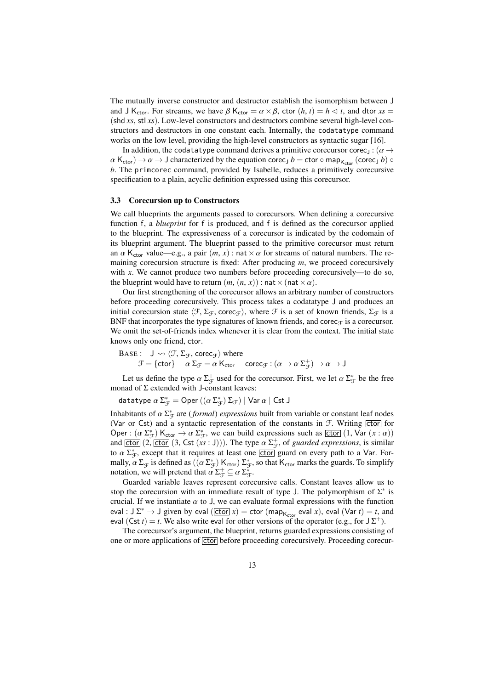The mutually inverse constructor and destructor establish the isomorphism between J and J K<sub>ctor</sub>. For streams, we have  $\beta$  K<sub>ctor</sub> =  $\alpha \times \beta$ , ctor  $(h, t) = h \triangleleft t$ , and dtor  $xs =$ (shd *xs*, stl *xs*). Low-level constructors and destructors combine several high-level constructors and destructors in one constant each. Internally, the codatatype command works on the low level, providing the high-level constructors as syntactic sugar [\[16\]](#page-24-5).

In addition, the codatatype command derives a primitive corecursor corec<sub>J</sub> :  $(\alpha \rightarrow$  $\alpha$  K<sub>ctor</sub>)  $\rightarrow \alpha \rightarrow J$  characterized by the equation corec<sub>J</sub>  $b =$  ctor  $\circ$  map<sub>K<sub>ctor</sub> (corec<sub>J</sub>  $b$ )  $\circ$ </sub> *b*. The primcorec command, provided by Isabelle, reduces a primitively corecursive specification to a plain, acyclic definition expressed using this corecursor.

#### <span id="page-12-0"></span>3.3 Corecursion up to Constructors

We call blueprints the arguments passed to corecursors. When defining a corecursive function f, a *blueprint* for f is produced, and f is defined as the corecursor applied to the blueprint. The expressiveness of a corecursor is indicated by the codomain of its blueprint argument. The blueprint passed to the primitive corecursor must return an  $\alpha$  K<sub>ctor</sub> value—e.g., a pair  $(m, x)$ : nat  $\times \alpha$  for streams of natural numbers. The remaining corecursion structure is fixed: After producing *m*, we proceed corecursively with *x*. We cannot produce two numbers before proceeding corecursively—to do so, the blueprint would have to return  $(m, (n, x))$ : nat  $\times$  (nat  $\times \alpha$ ).

Our first strengthening of the corecursor allows an arbitrary number of constructors before proceeding corecursively. This process takes a codatatype J and produces an initial corecursion state  $\langle \mathcal{F}, \Sigma_{\mathcal{F}}$ , corec<sub> $\mathcal{F}\rangle$ </sub>, where  $\mathcal{F}$  is a set of known friends,  $\Sigma_{\mathcal{F}}$  is a BNF that incorporates the type signatures of known friends, and corec $\tau$  is a corecursor. We omit the set-of-friends index whenever it is clear from the context. The initial state knows only one friend, ctor.

BASE: 
$$
\mathsf{J} \rightsquigarrow \langle \mathcal{F}, \Sigma_{\mathcal{F}}, \text{corec}_{\mathcal{F}} \rangle
$$
 where

\n $\mathcal{F} = \{\text{ctor}\}$ 

\n $\alpha \Sigma_{\mathcal{F}} = \alpha \, \mathsf{K}_{\text{ctor}}$ 

\n $\text{corec}_{\mathcal{F}} : (\alpha \to \alpha \, \Sigma_{\mathcal{F}}^+) \to \alpha \to \mathsf{J}$ 

Let us define the type  $\alpha \Sigma_{\mathcal{F}}^+$  used for the corecursor. First, we let  $\alpha \Sigma_{\mathcal{F}}^*$  be the free monad of  $\Sigma$  extended with J-constant leaves:

datatype  $\alpha \Sigma_{\mathcal{F}}^* = \mathsf{Oper}\left((\alpha \Sigma_{\mathcal{F}}^*)\Sigma_{\mathcal{F}}\right) \mid \mathsf{Var}\,\alpha \mid \mathsf{Cst}\,\mathsf{J}$ 

Inhabitants of  $\alpha \Sigma_{\mathcal{F}}^*$  are (*formal*) *expressions* built from variable or constant leaf nodes<br>(Var or Cst) and a syntactic representation of the constants in  $\mathcal{F}$  Writing [ctor] for (Var or Cst) and a syntactic representation of the constants in  $F$ . Writing  $\boxed{\text{ctor}}$  for Oper :  $(\alpha \Sigma_{\mathcal{F}}^*)$  K<sub>ctor</sub>  $\rightarrow \alpha \Sigma_{\mathcal{F}}^*$ , we can build expressions such as  $\boxed{\text{ctor}}$   $(1, \text{Var}(x : \alpha))$ <br>and  $\boxed{\text{ctor}}$  $(2, \boxed{\text{ctor}}$  $(3, \boxed{\text{ct}(x : 0)})$ . The type  $\alpha \Sigma^+$  of *quarded expressions* is similar and  $\boxed{\text{ctor}}$   $(2, \boxed{\text{ctor}}$   $(3, \text{Cst } (xs : J)))$ . The type  $\alpha \Sigma_x^+$ , of *guarded expressions*, is similar to  $\alpha \Sigma^*$ , except that it requires at least one  $\boxed{\text{ctor}}$  quard on every path to a Var. Forto  $\alpha \sum_{\mathcal{F}}^*$ , except that it requires at least one  $\boxed{\text{ctor}}$  guard on every path to a Var. For-<br>mally  $\alpha \sum_{\mathcal{F}}^+$  is defined as  $((\alpha \sum_{\mathcal{F}}^*)K) \sum_{\mathcal{F}}^*$  so that K, marks the quards. To simplify mally,  $\alpha \Sigma_{\mathcal{F}}^+$  is defined as  $((\alpha \Sigma_{\mathcal{F}}^+) \mathsf{K}_{\text{ctor}}) \Sigma_{\mathcal{F}}^*$ , so that  $\mathsf{K}_{\text{ctor}}$  marks the guards. To simplify notation we will pretend that  $\alpha \Sigma^+ \subset \alpha \Sigma^*$ notation, we will pretend that  $\alpha \Sigma_{\mathcal{F}}^+ \subseteq \alpha \Sigma_{\mathcal{F}}^+$ .<br>
Guarded variable leaves represent core

Guarded variable leaves represent corecursive calls. Constant leaves allow us to stop the corecursion with an immediate result of type J. The polymorphism of  $\Sigma^*$  is crucial. If we instantiate  $\alpha$  to J, we can evaluate formal expressions with the function eval :  $J \Sigma^* \to J$  given by eval  $(\overline{[ctor]} x) = ctor (map_{K_{ctor}}$  eval *x*), eval  $(Var t) = t$ , and eval (Cst *t*) = *t*. We also write eval for other versions of the operator (e.g., for  $J\Sigma^+$ ).

The corecursor's argument, the blueprint, returns guarded expressions consisting of one or more applications of ctor before proceeding corecursively. Proceeding corecur-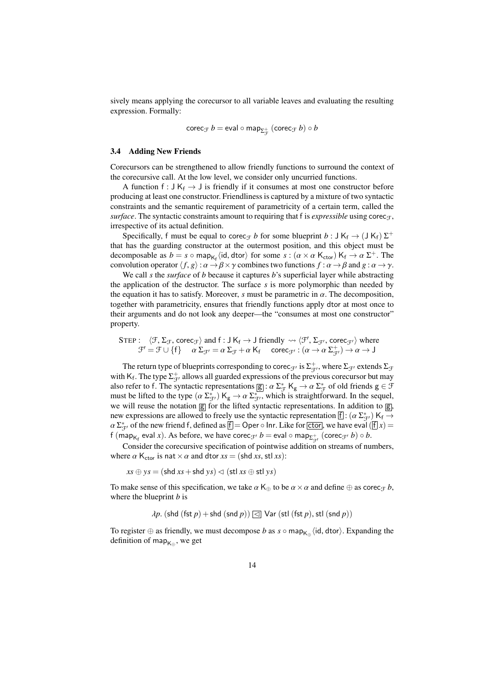sively means applying the corecursor to all variable leaves and evaluating the resulting expression. Formally:

$$
\mathsf{corec}_{\mathcal{F}}\,b = \mathsf{eval} \circ \mathsf{map}_{\Sigma_{\mathcal{F}}^+} \ (\mathsf{corec}_{\mathcal{F}}\,b) \circ b
$$

#### <span id="page-13-0"></span>3.4 Adding New Friends

Corecursors can be strengthened to allow friendly functions to surround the context of the corecursive call. At the low level, we consider only uncurried functions.

A function f :  $J K_f \rightarrow J$  is friendly if it consumes at most one constructor before producing at least one constructor. Friendliness is captured by a mixture of two syntactic constraints and the semantic requirement of parametricity of a certain term, called the *surface*. The syntactic constraints amount to requiring that f is *expressible* using corec<sub>T</sub>, irrespective of its actual definition.

Specifically, f must be equal to corec<sub>*F*</sub> *b* for some blueprint *b* :  $J K_f \rightarrow (J K_f) \Sigma^+$ that has the guarding constructor at the outermost position, and this object must be decomposable as  $b = s \circ \text{map}_{K_f} \langle id, \text{dtor} \rangle$  for some  $s : (\alpha \times \alpha \text{ K_{ctor}}) \cdot K_f \rightarrow \alpha \Sigma^+$ . The convolution operator  $\langle f, \alpha \rangle : \alpha \rightarrow \beta \times \gamma$  combines two functions  $f : \alpha \rightarrow \beta$  and  $\alpha : \alpha \rightarrow \gamma$ . convolution operator  $\langle f, g \rangle : \alpha \to \beta \times \gamma$  combines two functions  $f : \alpha \to \beta$  and  $g : \alpha \to \gamma$ .

We call *s* the *surface* of *b* because it captures *b*'s superficial layer while abstracting the application of the destructor. The surface *s* is more polymorphic than needed by the equation it has to satisfy. Moreover, *s* must be parametric in  $\alpha$ . The decomposition, together with parametricity, ensures that friendly functions apply dtor at most once to their arguments and do not look any deeper—the "consumes at most one constructor" property.

$$
\begin{array}{ll}\text{STEP}: & \langle \mathcal{F}, \Sigma_{\mathcal{F}}, \text{corec}_{\mathcal{F}} \rangle \text{ and } \text{f}: \text{J } \text{K}_{\text{f}} \rightarrow \text{J} \text{ friendly } \leadsto \langle \mathcal{F}', \Sigma_{\mathcal{F}'}, \text{corec}_{\mathcal{F}'} \rangle \text{ where } \\ & \mathcal{F}' = \mathcal{F} \cup \{\text{f}\} \quad \text{ } \alpha \Sigma_{\mathcal{F}'} = \alpha \Sigma_{\mathcal{F}} + \alpha \text{ K}_{\text{f}} \quad \text{ } \text{corec}_{\mathcal{F}'} : (\alpha \rightarrow \alpha \Sigma_{\mathcal{F}'}^+) \rightarrow \alpha \rightarrow \text{J} \end{array}
$$

The return type of blueprints corresponding to corec<sub> $\mathcal{F}'$ </sub> is  $\Sigma_{\mathcal{F}'}^+$ , where  $\Sigma_{\mathcal{F}'}$  extends  $\Sigma_{\mathcal{F}}$ with K<sub>f</sub>. The type  $\Sigma_{\mathcal{F}}^+$  allows all guarded expressions of the previous corecursor but may also refer to f. The syntactic representations  $g : \alpha \Sigma_{\mathcal{F}}^* K_g \to \alpha \Sigma_{\mathcal{F}}^*$  of old friends  $g \in \mathcal{F}$ <br>must be lifted to the type  $(\alpha \Sigma^*) K \to \alpha \Sigma^*$  which is straightforward. In the sequel must be lifted to the type  $(\alpha \Sigma_{\mathcal{F}}^*)$  K<sub>g</sub>  $\rightarrow \alpha \Sigma_{\mathcal{F}}^*$ , which is straightforward. In the sequel, we will reuse the notation  $\overline{\alpha}$  for the lifted syntactic representations. In addition to  $\overline{\alpha}$ we will reuse the notation  $\boxed{g}$  for the lifted syntactic representations. In addition to  $\boxed{g}$ , new expressions are allowed to freely use the syntactic representation  $\[\cdot\]$ :  $(\alpha \Sigma_{\mathcal{J'}}^*)$  K<sub>f</sub>  $\rightarrow$ <br> $\alpha \Sigma^*$  of the new friend f defined as  $\[\cdot\]$  Oper o lpr. I ike for store we have eval ( $\[\cdot\]$  x) –  $\alpha \sum_{j=1}^{k}$  of the new friend f, defined as  $\overline{f} = \overline{f}$  Oper  $\circ$  Inr. Like for ctor, we have eval  $(\overline{f} \mid x) = f$  (man., eval x). As before, we have corected  $h = \alpha$  and  $\circ$  man<sub>rth</sub> (corected)  $\circ h$ f (map<sub>K<sub>f</sub></sub> eval *x*). As before, we have corec<sub>J</sub> $\mathbf{p}$  *b* = eval  $\circ$  map<sub> $\Sigma_{\mathcal{F}}^{+}$ </sub> (corec<sub>J</sub> $\mathbf{p}$  *b*)  $\circ$  *b*.

Consider the corecursive specification of pointwise addition on streams of numbers, where  $\alpha$  K<sub>ctor</sub> is nat  $\times \alpha$  and dtor  $xs = (shd xs, stl xs)$ :

 $xs \oplus ys = (shd xs + shd ys) \lhd (stl xs \oplus stl ys)$ 

To make sense of this specification, we take  $\alpha$  K<sub>⊕</sub> to be  $\alpha \times \alpha$  and define  $\oplus$  as corec<sub>*F*</sub> *b*, where the blueprint *b* is

 $\lambda p$ . (shd (fst  $p$ ) + shd (snd  $p$ ))  $\Box$  Var (stl (fst  $p$ ), stl (snd  $p$ ))

To register  $\oplus$  as friendly, we must decompose *b* as *s* ◦ map<sub>K⊕</sub>  $\langle$ id, dtor $\rangle$ . Expanding the definition of map. definition of map $_{\mathsf{K}_\oplus},$  we get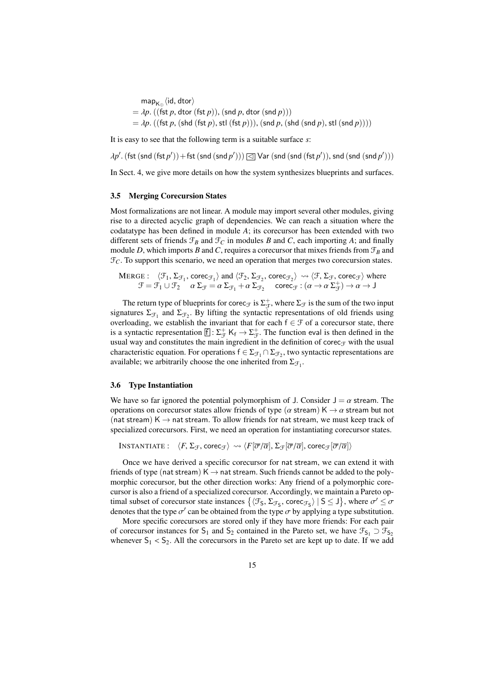map<sub>K⊕</sub> $\langle$ id, dtor $\rangle$ <br>dn  $\langle$ (fst.n. dtor  $=$   $\lambda p$ . ((fst *p*, dtor (fst *p*)), (snd *p*, dtor (snd *p*)))  $=$   $\lambda p$ . ((fst *p*, (shd (fst *p*), stl (fst *p*))), (snd *p*, (shd (snd *p*), stl (snd *p*))))

It is easy to see that the following term is a suitable surface *s*:

 $\lambda p'.$  (fst (snd (fst *p'*)) + fst (snd (snd *p'*)))  $\Box$  Var (snd (snd (fst *p'*)), snd (snd (snd *p'*)))

In Sect. [4,](#page-16-0) we give more details on how the system synthesizes blueprints and surfaces.

#### <span id="page-14-0"></span>3.5 Merging Corecursion States

Most formalizations are not linear. A module may import several other modules, giving rise to a directed acyclic graph of dependencies. We can reach a situation where the codatatype has been defined in module *A*; its corecursor has been extended with two different sets of friends  $\mathcal{F}_B$  and  $\mathcal{F}_C$  in modules *B* and *C*, each importing *A*; and finally module *D*, which imports *B* and *C*, requires a corecursor that mixes friends from  $\mathcal{F}_B$  and  $\mathcal{F}_C$ . To support this scenario, we need an operation that merges two corecursion states.

$$
\begin{array}{ll}\text{MERGE}: & \langle \mathcal{F}_1, \Sigma_{\mathcal{F}_1}, \text{corec}_{\mathcal{F}_1} \rangle \text{ and } \langle \mathcal{F}_2, \Sigma_{\mathcal{F}_2}, \text{corec}_{\mathcal{F}_2} \rangle \rightsquigarrow \langle \mathcal{F}, \Sigma_{\mathcal{F}}, \text{corec}_{\mathcal{F}} \rangle \text{ where } \\ & \mathcal{F} = \mathcal{F}_1 \cup \mathcal{F}_2 \quad \alpha \Sigma_{\mathcal{F}} = \alpha \Sigma_{\mathcal{F}_1} + \alpha \Sigma_{\mathcal{F}_2} \quad \text{corec}_{\mathcal{F}}: (\alpha \to \alpha \Sigma_{\mathcal{F}}^+) \to \alpha \to J \end{array}
$$

The return type of blueprints for corec<sub> $\mathcal F$ </sub> is  $\Sigma_{\mathcal F}^+$ , where  $\Sigma_{\mathcal F}$  is the sum of the two input signatures  $\Sigma_{\mathcal{F}_1}$  and  $\Sigma_{\mathcal{F}_2}$ . By lifting the syntactic representations of old friends using overloading, we establish the invariant that for each  $f \in \mathcal{F}$  of a corecursor state, there is a syntactic representation  $[f]: \Sigma_{\mathcal{F}}^+$  K<sub>f</sub>  $\to \Sigma_{\mathcal{F}}^+$ . The function eval is then defined in the usual way and constitutes the main ingredient in the definition of corec $<sub>F</sub>$  with the usual</sub> characteristic equation. For operations  $f \in \Sigma_{\mathcal{F}_1} \cap \Sigma_{\mathcal{F}_2}$ , two syntactic representations are available; we arbitrarily choose the one inherited from  $\Sigma_{\mathcal{F}_1}$ .

#### <span id="page-14-1"></span>3.6 Type Instantiation

We have so far ignored the potential polymorphism of J. Consider  $J = \alpha$  stream. The operations on corecursor states allow friends of type ( $\alpha$  stream) K  $\rightarrow \alpha$  stream but not (nat stream)  $K \rightarrow$  nat stream. To allow friends for nat stream, we must keep track of specialized corecursors. First, we need an operation for instantiating corecursor states.

INSTANTIATE:  $\langle F, \Sigma_{\mathcal{F}}, \text{corec}_{\mathcal{F}} \rangle \rightsquigarrow \langle F[\overline{\sigma}/\overline{\alpha}], \Sigma_{\mathcal{F}}[\overline{\sigma}/\overline{\alpha}], \text{corec}_{\mathcal{F}}[\overline{\sigma}/\overline{\alpha}] \rangle$ 

Once we have derived a specific corecursor for nat stream, we can extend it with friends of type (nat stream)  $K \rightarrow$  nat stream. Such friends cannot be added to the polymorphic corecursor, but the other direction works: Any friend of a polymorphic corecursor is also a friend of a specialized corecursor. Accordingly, we maintain a Pareto optimal subset of corecursor state instances  $\{(\mathcal{F}_5, \Sigma_{\mathcal{F}_5}, \text{core}_{\mathcal{F}_5}) \mid 5 \leq J\}$ , where  $\sigma' \leq \sigma$ <br>denotes that the type  $\sigma'$  can be obtained from the type  $\sigma$  by applying a type substitution denotes that the type  $\sigma'$  can be obtained from the type  $\sigma$  by applying a type substitution.<br>More specific corecursors are stored only if they have more friends: For each pair

More specific corecursors are stored only if they have more friends: For each pair of corecursor instances for S<sub>1</sub> and S<sub>2</sub> contained in the Pareto set, we have  $\mathcal{F}_{S_1} \supset \mathcal{F}_{S_2}$ whenever  $S_1 < S_2$ . All the corecursors in the Pareto set are kept up to date. If we add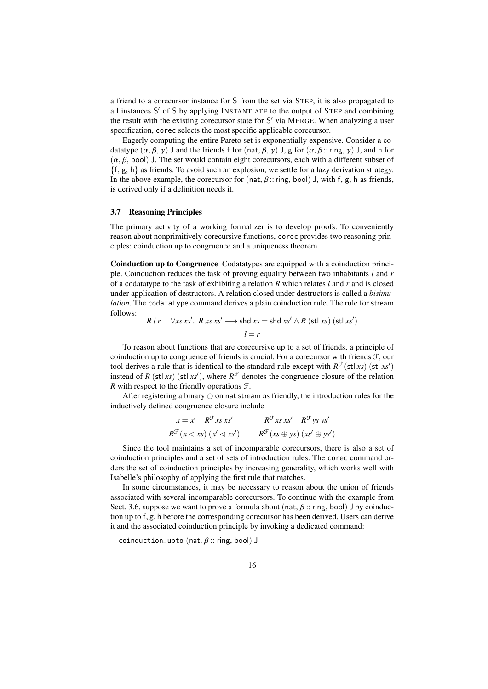a friend to a corecursor instance for S from the set via STEP, it is also propagated to all instances S' of S by applying INSTANTIATE to the output of STEP and combining the result with the existing corecursor state for S' via MERGE. When analyzing a user specification, corec selects the most specific applicable corecursor.

Eagerly computing the entire Pareto set is exponentially expensive. Consider a codatatype  $(\alpha, \beta, \gamma)$  J and the friends f for (nat,  $\beta$ ,  $\gamma$ ) J, g for  $(\alpha, \beta)$ : ring,  $\gamma$ ) J, and h for  $(\alpha, \beta, \text{bool})$  J. The set would contain eight corecursors, each with a different subset of  $\{f, g, h\}$  as friends. To avoid such an explosion, we settle for a lazy derivation strategy. In the above example, the corecursor for (nat,  $\beta$ :: ring, bool) J, with f, g, h as friends, is derived only if a definition needs it.

#### <span id="page-15-0"></span>3.7 Reasoning Principles

The primary activity of a working formalizer is to develop proofs. To conveniently reason about nonprimitively corecursive functions, corec provides two reasoning principles: coinduction up to congruence and a uniqueness theorem.

Coinduction up to Congruence Codatatypes are equipped with a coinduction principle. Coinduction reduces the task of proving equality between two inhabitants *l* and *r* of a codatatype to the task of exhibiting a relation *R* which relates *l* and *r* and is closed under application of destructors. A relation closed under destructors is called a *bisimulation*. The codatatype command derives a plain coinduction rule. The rule for stream follows:

$$
\frac{R \, l \, r \quad \forall x s \, x s'. \, R \, x s \, x s' \longrightarrow \text{shd } x s = \text{shd } x s' \land R \, (\text{stl } x s) \, (\text{stl } x s')}{l = r}
$$

To reason about functions that are corecursive up to a set of friends, a principle of coinduction up to congruence of friends is crucial. For a corecursor with friends F, our tool derives a rule that is identical to the standard rule except with  $R^{\mathcal{F}}(\text{st} \,|\, xs)$  (stl *xs*<sup>'</sup>) instead of *R* (stl *xs*) (stl *xs*<sup> $\prime$ </sup>), where  $R^{\mathcal{F}}$  denotes the congruence closure of the relation *R* with respect to the friendly operations F.

After registering a binary  $\oplus$  on nat stream as friendly, the introduction rules for the inductively defined congruence closure include

$$
\frac{x = x' \quad R^{\mathcal{F}} x s x s'}{R^{\mathcal{F}} (x \triangleleft x s) \ (x' \triangleleft x s')} \qquad \frac{R^{\mathcal{F}} x s x s' \quad R^{\mathcal{F}} y s y s'}{R^{\mathcal{F}} (x s \oplus y s) \ (x s' \oplus y s')}
$$

Since the tool maintains a set of incomparable corecursors, there is also a set of coinduction principles and a set of sets of introduction rules. The corec command orders the set of coinduction principles by increasing generality, which works well with Isabelle's philosophy of applying the first rule that matches.

In some circumstances, it may be necessary to reason about the union of friends associated with several incomparable corecursors. To continue with the example from Sect. [3.6,](#page-14-1) suppose we want to prove a formula about (nat,  $\beta$  :: ring, bool) J by coinduction up to f, g, h before the corresponding corecursor has been derived. Users can derive it and the associated coinduction principle by invoking a dedicated command:

coinduction\_upto (nat,  $\beta$  :: ring, bool) J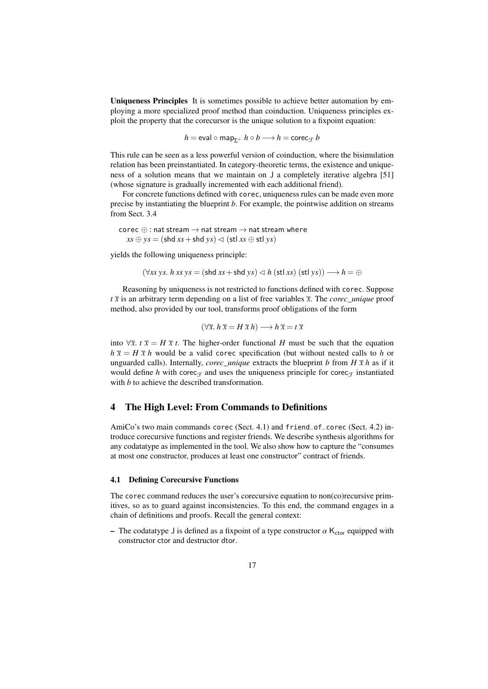Uniqueness Principles It is sometimes possible to achieve better automation by employing a more specialized proof method than coinduction. Uniqueness principles exploit the property that the corecursor is the unique solution to a fixpoint equation:

$$
h = \text{eval} \circ \text{map}_{\Sigma^+} \ h \circ b \longrightarrow h = \text{corec}_{\mathcal{F}} \ b
$$

This rule can be seen as a less powerful version of coinduction, where the bisimulation relation has been preinstantiated. In category-theoretic terms, the existence and uniqueness of a solution means that we maintain on J a completely iterative algebra [\[51\]](#page-26-9) (whose signature is gradually incremented with each additional friend).

For concrete functions defined with corec, uniqueness rules can be made even more precise by instantiating the blueprint *b*. For example, the pointwise addition on streams from Sect. [3.4](#page-13-0)

corec  $\oplus$  : nat stream  $\rightarrow$  nat stream  $\rightarrow$  nat stream where  $xs \oplus ys = (shd xs + shd vs) \lhd (stl xs \oplus stl vs)$ 

yields the following uniqueness principle:

$$
(\forall xs\; ys.\; h\; xs\; ys = (shd\; xs + shd\; ys) \lhd h\; (stl\; xs)\; (stl\; ys)) \longrightarrow h = \oplus
$$

Reasoning by uniqueness is not restricted to functions defined with corec. Suppose *t x* is an arbitrary term depending on a list of free variables *x*. The *corec\_unique* proof method, also provided by our tool, transforms proof obligations of the form

$$
(\forall \overline{x}. \ h \ \overline{x} = H \ \overline{x} \ h) \longrightarrow h \ \overline{x} = t \ \overline{x}
$$

into  $\forall \bar{x}$ . *t*  $\bar{x} = H \bar{x}$  *t*. The higher-order functional *H* must be such that the equation  $h \bar{x} = H \bar{x} h$  would be a valid corec specification (but without nested calls to *h* or unguarded calls). Internally, *corec\_unique* extracts the blueprint *b* from  $H \bar{x} h$  as if it would define *h* with corec<sub>T</sub> and uses the uniqueness principle for corec<sub>T</sub> instantiated with *b* to achieve the described transformation.

# <span id="page-16-0"></span>4 The High Level: From Commands to Definitions

AmiCo's two main commands corec (Sect. [4.1\)](#page-16-1) and friend\_of\_corec (Sect. [4.2\)](#page-18-0) introduce corecursive functions and register friends. We describe synthesis algorithms for any codatatype as implemented in the tool. We also show how to capture the "consumes at most one constructor, produces at least one constructor" contract of friends.

#### <span id="page-16-1"></span>4.1 Defining Corecursive Functions

The corec command reduces the user's corecursive equation to non(co)recursive primitives, so as to guard against inconsistencies. To this end, the command engages in a chain of definitions and proofs. Recall the general context:

– The codatatype J is defined as a fixpoint of a type constructor  $\alpha$  K<sub>ctor</sub> equipped with constructor ctor and destructor dtor.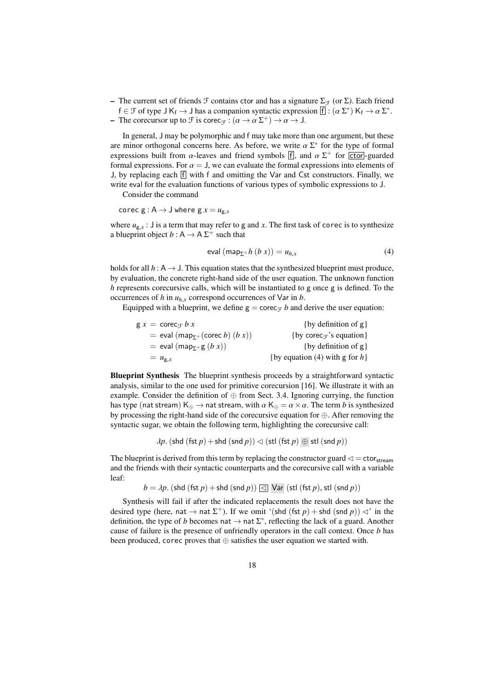– The current set of friends  $\mathcal F$  contains ctor and has a signature  $\Sigma_{\mathcal F}$  (or  $\Sigma$ ). Each friend  $f \in \mathcal{F}$  of type  $J K_f \to J$  has a companion syntactic expression  $[f] : (\alpha \Sigma^*) K_f \to \alpha \Sigma^*$ .<br>The corecursor up to  $\mathcal{F}$  is corec $\alpha : (\alpha \to \alpha \Sigma^+) \to \alpha \to 1$ .

- The corecursor up to  $\mathcal F$  is corec<sub> $\mathcal F$ </sub> :  $(\alpha \to \alpha \Sigma^+) \to \alpha \to J$ .

In general, J may be polymorphic and f may take more than one argument, but these are minor orthogonal concerns here. As before, we write  $\alpha \Sigma^*$  for the type of formal<br>expressions built from  $\alpha$ -leaves and friend symbols  $\overline{f}$  and  $\alpha \Sigma^+$  for [stor]-guarded expressions built from  $\alpha$ -leaves and friend symbols [f], and  $\alpha \Sigma^+$  for  $\overline{[ctor]}$ -guarded formal expressions. For  $\alpha = 1$  we can evaluate the formal expressions into elements of formal expressions. For  $\alpha = J$ , we can evaluate the formal expressions into elements of J, by replacing each  $\overline{f}$  with f and omitting the Var and Cst constructors. Finally, we write eval for the evaluation functions of various types of symbolic expressions to J.

Consider the command

corec  $g : A \rightarrow J$  where  $g x = u_{g,x}$ 

where  $u_{g,x}$ : J is a term that may refer to g and *x*. The first task of corec is to synthesize a blueprint object  $b: A \rightarrow A \Sigma^{+}$  such that

<span id="page-17-0"></span>
$$
eval (map_{\Sigma^+}h (b x)) = u_{h,x}
$$
 (4)

holds for all  $h : A \rightarrow J$ . This equation states that the synthesized blueprint must produce, by evaluation, the concrete right-hand side of the user equation. The unknown function *h* represents corecursive calls, which will be instantiated to g once g is defined. To the occurrences of  $h$  in  $u_{h,x}$  correspond occurrences of Var in  $b$ .

Equipped with a blueprint, we define  $g = \text{corec}_{\mathcal{F}} b$  and derive the user equation:

| $gx = \csc_{f} bx$                                                   | $\{by definition of g\}$                                  |
|----------------------------------------------------------------------|-----------------------------------------------------------|
| $=$ eval (map <sub><math>\Sigma^{+}</math></sub> (corec b) $(b x)$ ) | {by corec <sub><math>\hat{\tau}</math></sub> 's equation} |
| = eval (map <sub><math>\Sigma</math>+g <math>(b x)</math>)</sub>     | $\{by definition of g\}$                                  |
| $= u_{\mathfrak{g},x}$                                               | {by equation (4) with g for $h$ }                         |
|                                                                      |                                                           |

Blueprint Synthesis The blueprint synthesis proceeds by a straightforward syntactic analysis, similar to the one used for primitive corecursion [\[16\]](#page-24-5). We illustrate it with an example. Consider the definition of ⊕ from Sect. [3.4.](#page-13-0) Ignoring currying, the function has type (nat stream)  $K_{\oplus} \to$  nat stream, with  $\alpha K_{\oplus} = \alpha \times \alpha$ . The term *b* is synthesized by processing the right-hand side of the corecursive equation for ⊕. After removing the syntactic sugar, we obtain the following term, highlighting the corecursive call:

 $\lambda p$ . (shd (fst *p*) + shd (snd *p*))  $\triangleleft$  (stl (fst *p*)  $\oplus$  stl (snd *p*))

The blueprint is derived from this term by replacing the constructor guard  $\triangleleft = \text{ctor}_{\text{stream}}$ and the friends with their syntactic counterparts and the corecursive call with a variable leaf:

 $b = \lambda p$ . (shd (fst *p*) + shd (snd *p*))  $\text{Q}$  Var (stl (fst *p*), stl (snd *p*))

Synthesis will fail if after the indicated replacements the result does not have the desired type (here, nat  $\rightarrow$  nat  $\Sigma^+$ ). If we omit '(shd (fst *p*) + shd (snd *p*))  $\lhd$ ' in the definition, the type of *b* becomes nat  $\rightarrow$  nat  $\Sigma^*$ , reflecting the lack of a guard. Another cause of failure is the presence of unfriendly operators in the call context. Once *b* has been produced, corec proves that ⊕ satisfies the user equation we started with.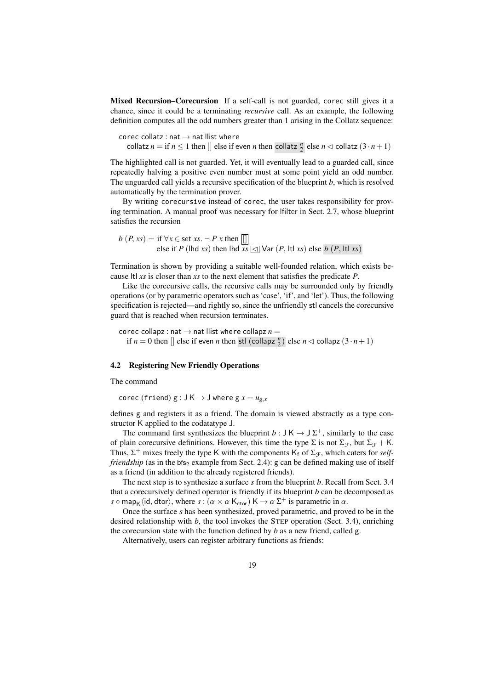Mixed Recursion–Corecursion If a self-call is not guarded, corec still gives it a chance, since it could be a terminating *recursive* call. As an example, the following definition computes all the odd numbers greater than 1 arising in the Collatz sequence:

corec collatz : nat  $\rightarrow$  nat llist where collatz  $n =$  if  $n \leq 1$  then  $\lbrack \rbrack$  else if even  $n$  then collatz  $\frac{n}{2}$  else  $n \lhd$  collatz  $(3 \cdot n + 1)$ 

The highlighted call is not guarded. Yet, it will eventually lead to a guarded call, since repeatedly halving a positive even number must at some point yield an odd number. The unguarded call yields a recursive specification of the blueprint *b*, which is resolved automatically by the termination prover.

By writing corecursive instead of corec, the user takes responsibility for proving termination. A manual proof was necessary for lfilter in Sect. [2.7,](#page-9-3) whose blueprint satisfies the recursion

 $b(P, xs) = \text{if } \forall x \in \text{set } xs. \neg P x \text{ then } ||$ else if *P* (lhd *xs*) then lhd  $\overline{xs}$   $\overline{\triangleleft}$  Var (*P*, ltl *xs*) else *b* (*P*, ltl *xs*)

Termination is shown by providing a suitable well-founded relation, which exists because ltl *xs* is closer than *xs* to the next element that satisfies the predicate *P*.

Like the corecursive calls, the recursive calls may be surrounded only by friendly operations (or by parametric operators such as 'case', 'if', and 'let'). Thus, the following specification is rejected—and rightly so, since the unfriendly stl cancels the corecursive guard that is reached when recursion terminates.

corec collapz : nat  $\rightarrow$  nat llist where collapz  $n =$ if  $n = 0$  then  $\left[\right]$  else if even *n* then stl (collapz  $\frac{n}{2}$ ) else  $n \lhd$  collapz  $(3 \cdot n + 1)$ 

## <span id="page-18-0"></span>4.2 Registering New Friendly Operations

The command

corec (friend)  $g : J K \rightarrow J$  where  $g x = u_{g.x}$ 

defines g and registers it as a friend. The domain is viewed abstractly as a type constructor K applied to the codatatype J.

The command first synthesizes the blueprint  $b: J K \rightarrow J \Sigma^{+}$ , similarly to the case of plain corecursive definitions. However, this time the type  $\Sigma$  is not  $\Sigma_{\mathcal{F}}$ , but  $\Sigma_{\mathcal{F}} + \mathsf{K}$ . Thus,  $\Sigma^+$  mixes freely the type K with the components  $K_f$  of  $\Sigma_f$ , which caters for *selffriendship* (as in the bfs<sub>2</sub> example from Sect. [2.4\)](#page-7-0): g can be defined making use of itself as a friend (in addition to the already registered friends).

The next step is to synthesize a surface *s* from the blueprint *b*. Recall from Sect. [3.4](#page-13-0) that a corecursively defined operator is friendly if its blueprint *b* can be decomposed as *s*  $\circ$  map<sub>K</sub> (id, dtor), where  $s : (\alpha \times \alpha \mathsf{K}_{\text{ctor}}) \mathsf{K} \to \alpha \Sigma^+$  is parametric in  $\alpha$ .<br>Once the surface *s* has been synthesized, proved parametric, and prove

Once the surface *s* has been synthesized, proved parametric, and proved to be in the desired relationship with *b*, the tool invokes the STEP operation (Sect. [3.4\)](#page-13-0), enriching the corecursion state with the function defined by *b* as a new friend, called g.

Alternatively, users can register arbitrary functions as friends: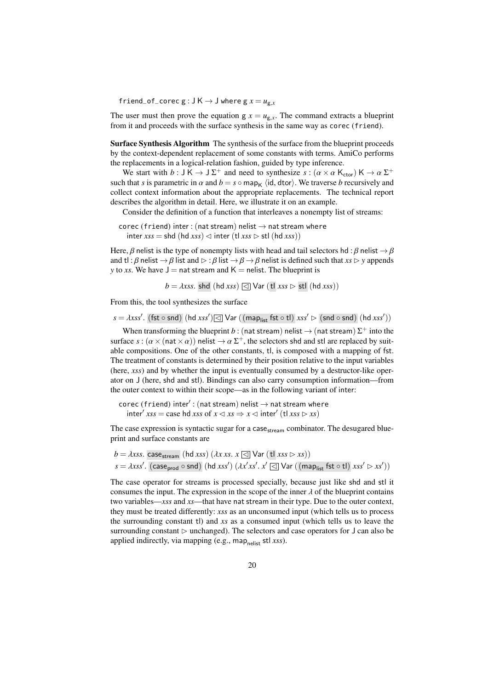friend\_of\_corec  $g : J K \rightarrow J$  where  $g x = u_{g,x}$ 

The user must then prove the equation  $g x = u_{g.x}$ . The command extracts a blueprint from it and proceeds with the surface synthesis in the same way as corec (friend).

Surface Synthesis Algorithm The synthesis of the surface from the blueprint proceeds by the context-dependent replacement of some constants with terms. AmiCo performs the replacements in a logical-relation fashion, guided by type inference.

We start with  $b : J K \to J \Sigma^+$  and need to synthesize  $s : (\alpha \times \alpha K_{\text{ctor}}) K \to \alpha \Sigma^+$ <br>b that s is parametric in  $\alpha$  and  $b = s \cap \text{map}$ , (id dtor). We traverse b recursively and such that *s* is parametric in  $\alpha$  and  $b = s \circ \text{map}_{K}$  (id, dtor). We traverse *b* recursively and collect context information about the appropriate replacements. The technical report describes the algorithm in detail. Here, we illustrate it on an example.

Consider the definition of a function that interleaves a nonempty list of streams:

```
corec (friend) inter : (nat stream) nelist \rightarrow nat stream where
   \text{inter } x s s = \text{shd } (\text{hd } x s s) \lhd \text{inter } (\text{tl } x s s \rhd \text{stl } (\text{hd } x s s))
```
Here,  $\beta$  nelist is the type of nonempty lists with head and tail selectors hd :  $\beta$  nelist  $\rightarrow \beta$ and tl :  $\beta$  nelist  $\rightarrow \beta$  list and  $\triangleright$  :  $\beta$  list  $\rightarrow \beta \rightarrow \beta$  nelist is defined such that *xs*  $\triangleright$  *y* appends *y* to *xs*. We have  $J =$  nat stream and  $K =$  nelist. The blueprint is

*<sup>b</sup>* <sup>=</sup> λ*xss*. shd (hd *xss*) <sup>C</sup> Var (tl *xss* <sup>B</sup> stl (hd *xss*))

From this, the tool synthesizes the surface

 $s = \lambda x s s'.$  (fst ◦ snd) (hd *xss'*) $\boxed{\triangleleft}$  Var ((map<sub>list</sub> fst ◦ tl) *xss'*  $\rhd$  (snd ◦ snd) (hd *xss'*))

When transforming the blueprint  $b$  : (nat stream) nelist  $\rightarrow$  (nat stream)  $\Sigma^+$  into the surface  $s$ :  $(\alpha \times (nat \times \alpha))$  nelist  $\rightarrow \alpha \Sigma^{+}$ , the selectors shd and stl are replaced by suit-<br>able compositions. One of the other constants, this composed with a manning of fet able compositions. One of the other constants, tl, is composed with a mapping of fst. The treatment of constants is determined by their position relative to the input variables (here, *xss*) and by whether the input is eventually consumed by a destructor-like operator on J (here, shd and stl). Bindings can also carry consumption information—from the outer context to within their scope—as in the following variant of inter:

corec (friend)  $\text{inter}'$ : (nat stream) nelist  $\rightarrow$  nat stream where inter<sup>0</sup> *xss* = case hd *xss* of *x* C *xs* ⇒ *x* C inter<sup>0</sup> (tl *xss* B *xs*)

The case expression is syntactic sugar for a case  $_{\rm stream}$  combinator. The desugared blueprint and surface constants are

```
b = \lambda xss. case<sub>stream</sub> (hd xss) (\lambda x xs. x \in \Box Var (tl xss \triangleright xs))
 s = λxss0
. (caseprod ◦ snd) (hd xss0
) (λx
0
xs0
. x
0 C Var ((maplist fst ◦ tl) xss0 B xs0
))
```
The case operator for streams is processed specially, because just like shd and stl it consumes the input. The expression in the scope of the inner  $\lambda$  of the blueprint contains two variables—*xss* and *xs*—that have nat stream in their type. Due to the outer context, they must be treated differently: *xss* as an unconsumed input (which tells us to process the surrounding constant tl) and *xs* as a consumed input (which tells us to leave the surrounding constant  $\triangleright$  unchanged). The selectors and case operators for J can also be applied indirectly, via mapping (e.g., map<sub>nelist</sub> stl *xss*).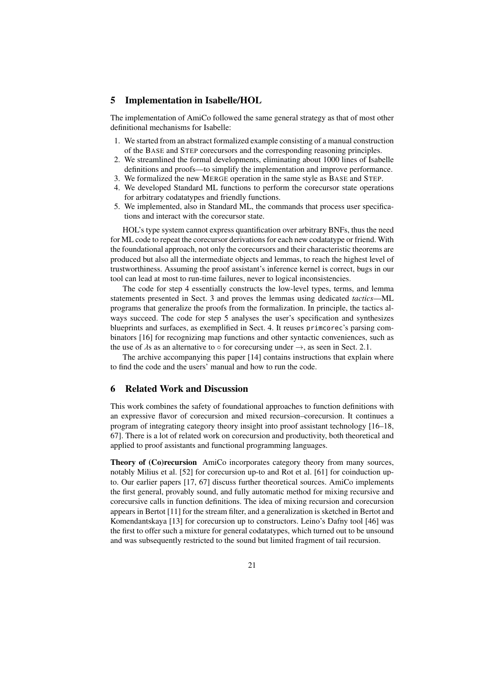# <span id="page-20-0"></span>5 Implementation in Isabelle/HOL

The implementation of AmiCo followed the same general strategy as that of most other definitional mechanisms for Isabelle:

- 1. We started from an abstract formalized example consisting of a manual construction of the BASE and STEP corecursors and the corresponding reasoning principles.
- 2. We streamlined the formal developments, eliminating about 1000 lines of Isabelle definitions and proofs—to simplify the implementation and improve performance.
- 3. We formalized the new MERGE operation in the same style as BASE and STEP.
- 4. We developed Standard ML functions to perform the corecursor state operations for arbitrary codatatypes and friendly functions.
- 5. We implemented, also in Standard ML, the commands that process user specifications and interact with the corecursor state.

HOL's type system cannot express quantification over arbitrary BNFs, thus the need for ML code to repeat the corecursor derivations for each new codatatype or friend. With the foundational approach, not only the corecursors and their characteristic theorems are produced but also all the intermediate objects and lemmas, to reach the highest level of trustworthiness. Assuming the proof assistant's inference kernel is correct, bugs in our tool can lead at most to run-time failures, never to logical inconsistencies.

The code for step 4 essentially constructs the low-level types, terms, and lemma statements presented in Sect. [3](#page-11-0) and proves the lemmas using dedicated *tactics*—ML programs that generalize the proofs from the formalization. In principle, the tactics always succeed. The code for step 5 analyses the user's specification and synthesizes blueprints and surfaces, as exemplified in Sect. [4.](#page-16-0) It reuses primcorec's parsing combinators [\[16\]](#page-24-5) for recognizing map functions and other syntactic conveniences, such as the use of  $\lambda$ s as an alternative to  $\circ$  for corecursing under  $\rightarrow$ , as seen in Sect. [2.1.](#page-3-1)

The archive accompanying this paper [\[14\]](#page-24-7) contains instructions that explain where to find the code and the users' manual and how to run the code.

# <span id="page-20-1"></span>6 Related Work and Discussion

This work combines the safety of foundational approaches to function definitions with an expressive flavor of corecursion and mixed recursion–corecursion. It continues a program of integrating category theory insight into proof assistant technology [\[16](#page-24-5)[–18,](#page-24-4) [67\]](#page-26-3). There is a lot of related work on corecursion and productivity, both theoretical and applied to proof assistants and functional programming languages.

Theory of (Co)recursion AmiCo incorporates category theory from many sources, notably Milius et al. [\[52\]](#page-26-10) for corecursion up-to and Rot et al. [\[61\]](#page-26-11) for coinduction upto. Our earlier papers [\[17,](#page-24-6) [67\]](#page-26-3) discuss further theoretical sources. AmiCo implements the first general, provably sound, and fully automatic method for mixing recursive and corecursive calls in function definitions. The idea of mixing recursion and corecursion appears in Bertot [\[11\]](#page-24-12) for the stream filter, and a generalization is sketched in Bertot and Komendantskaya [\[13\]](#page-24-13) for corecursion up to constructors. Leino's Dafny tool [\[46\]](#page-25-4) was the first to offer such a mixture for general codatatypes, which turned out to be unsound and was subsequently restricted to the sound but limited fragment of tail recursion.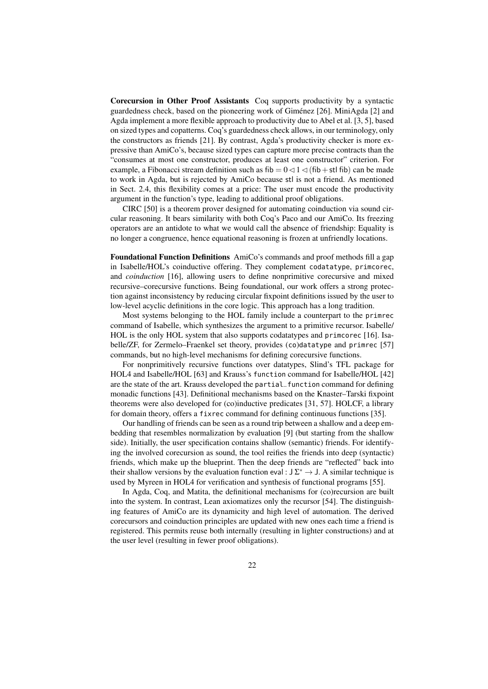Corecursion in Other Proof Assistants Coq supports productivity by a syntactic guardedness check, based on the pioneering work of Giménez [\[26\]](#page-25-13). MiniAgda [\[2\]](#page-23-3) and Agda implement a more flexible approach to productivity due to Abel et al. [\[3,](#page-23-2) [5\]](#page-24-14), based on sized types and copatterns. Coq's guardedness check allows, in our terminology, only the constructors as friends [\[21\]](#page-24-15). By contrast, Agda's productivity checker is more expressive than AmiCo's, because sized types can capture more precise contracts than the "consumes at most one constructor, produces at least one constructor" criterion. For example, a Fibonacci stream definition such as fib  $= 0 \le 1 \le$  (fib + stl fib) can be made to work in Agda, but is rejected by AmiCo because stl is not a friend. As mentioned in Sect. [2.4,](#page-7-0) this flexibility comes at a price: The user must encode the productivity argument in the function's type, leading to additional proof obligations.

CIRC [\[50\]](#page-26-12) is a theorem prover designed for automating coinduction via sound circular reasoning. It bears similarity with both Coq's Paco and our AmiCo. Its freezing operators are an antidote to what we would call the absence of friendship: Equality is no longer a congruence, hence equational reasoning is frozen at unfriendly locations.

Foundational Function Definitions AmiCo's commands and proof methods fill a gap in Isabelle/HOL's coinductive offering. They complement codatatype, primcorec, and *coinduction* [\[16\]](#page-24-5), allowing users to define nonprimitive corecursive and mixed recursive–corecursive functions. Being foundational, our work offers a strong protection against inconsistency by reducing circular fixpoint definitions issued by the user to low-level acyclic definitions in the core logic. This approach has a long tradition.

Most systems belonging to the HOL family include a counterpart to the primrec command of Isabelle, which synthesizes the argument to a primitive recursor. Isabelle/ HOL is the only HOL system that also supports codatatypes and primcorec [\[16\]](#page-24-5). Isabelle/ZF, for Zermelo–Fraenkel set theory, provides (co)datatype and primrec [\[57\]](#page-26-13) commands, but no high-level mechanisms for defining corecursive functions.

For nonprimitively recursive functions over datatypes, Slind's TFL package for HOL4 and Isabelle/HOL [\[63\]](#page-26-14) and Krauss's function command for Isabelle/HOL [\[42\]](#page-25-14) are the state of the art. Krauss developed the partial\_function command for defining monadic functions [\[43\]](#page-25-15). Definitional mechanisms based on the Knaster–Tarski fixpoint theorems were also developed for (co)inductive predicates [\[31,](#page-25-16) [57\]](#page-26-13). HOLCF, a library for domain theory, offers a fixrec command for defining continuous functions [\[35\]](#page-25-17).

Our handling of friends can be seen as a round trip between a shallow and a deep embedding that resembles normalization by evaluation [\[9\]](#page-24-16) (but starting from the shallow side). Initially, the user specification contains shallow (semantic) friends. For identifying the involved corecursion as sound, the tool reifies the friends into deep (syntactic) friends, which make up the blueprint. Then the deep friends are "reflected" back into their shallow versions by the evaluation function eval :  $J\Sigma^* \to J$ . A similar technique is used by Myreen in HOL4 for verification and synthesis of functional programs [\[55\]](#page-26-15).

In Agda, Coq, and Matita, the definitional mechanisms for (co)recursion are built into the system. In contrast, Lean axiomatizes only the recursor [\[54\]](#page-26-16). The distinguishing features of AmiCo are its dynamicity and high level of automation. The derived corecursors and coinduction principles are updated with new ones each time a friend is registered. This permits reuse both internally (resulting in lighter constructions) and at the user level (resulting in fewer proof obligations).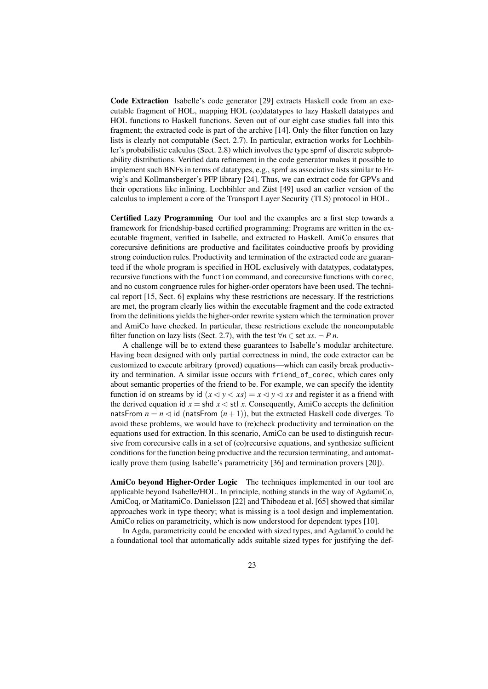Code Extraction Isabelle's code generator [\[29\]](#page-25-18) extracts Haskell code from an executable fragment of HOL, mapping HOL (co)datatypes to lazy Haskell datatypes and HOL functions to Haskell functions. Seven out of our eight case studies fall into this fragment; the extracted code is part of the archive [\[14\]](#page-24-7). Only the filter function on lazy lists is clearly not computable (Sect. [2.7\)](#page-9-3). In particular, extraction works for Lochbihler's probabilistic calculus (Sect. [2.8\)](#page-10-0) which involves the type spmf of discrete subprobability distributions. Verified data refinement in the code generator makes it possible to implement such BNFs in terms of datatypes, e.g., spmf as associative lists similar to Erwig's and Kollmansberger's PFP library [\[24\]](#page-24-17). Thus, we can extract code for GPVs and their operations like inlining. Lochbihler and Züst [\[49\]](#page-26-17) used an earlier version of the calculus to implement a core of the Transport Layer Security (TLS) protocol in HOL.

Certified Lazy Programming Our tool and the examples are a first step towards a framework for friendship-based certified programming: Programs are written in the executable fragment, verified in Isabelle, and extracted to Haskell. AmiCo ensures that corecursive definitions are productive and facilitates coinductive proofs by providing strong coinduction rules. Productivity and termination of the extracted code are guaranteed if the whole program is specified in HOL exclusively with datatypes, codatatypes, recursive functions with the function command, and corecursive functions with corec, and no custom congruence rules for higher-order operators have been used. The technical report [\[15,](#page-24-8) Sect. 6] explains why these restrictions are necessary. If the restrictions are met, the program clearly lies within the executable fragment and the code extracted from the definitions yields the higher-order rewrite system which the termination prover and AmiCo have checked. In particular, these restrictions exclude the noncomputable filter function on lazy lists (Sect. [2.7\)](#page-9-3), with the test  $\forall n \in \text{set } xs. \neg P \, n$ .

A challenge will be to extend these guarantees to Isabelle's modular architecture. Having been designed with only partial correctness in mind, the code extractor can be customized to execute arbitrary (proved) equations—which can easily break productivity and termination. A similar issue occurs with friend\_of\_corec, which cares only about semantic properties of the friend to be. For example, we can specify the identity function id on streams by id  $(x \le y \le xs) = x \le y \le xs$  and register it as a friend with the derived equation id  $x = \text{shd } x \leq \text{stl } x$ . Consequently, AmiCo accepts the definition natsFrom  $n = n \le d$  id (natsFrom  $(n + 1)$ ), but the extracted Haskell code diverges. To avoid these problems, we would have to (re)check productivity and termination on the equations used for extraction. In this scenario, AmiCo can be used to distinguish recursive from corecursive calls in a set of (co)recursive equations, and synthesize sufficient conditions for the function being productive and the recursion terminating, and automatically prove them (using Isabelle's parametricity [\[36\]](#page-25-19) and termination provers [\[20\]](#page-24-18)).

AmiCo beyond Higher-Order Logic The techniques implemented in our tool are applicable beyond Isabelle/HOL. In principle, nothing stands in the way of AgdamiCo, AmiCoq, or MatitamiCo. Danielsson [\[22\]](#page-24-19) and Thibodeau et al. [\[65\]](#page-26-18) showed that similar approaches work in type theory; what is missing is a tool design and implementation. AmiCo relies on parametricity, which is now understood for dependent types [\[10\]](#page-24-20).

In Agda, parametricity could be encoded with sized types, and AgdamiCo could be a foundational tool that automatically adds suitable sized types for justifying the def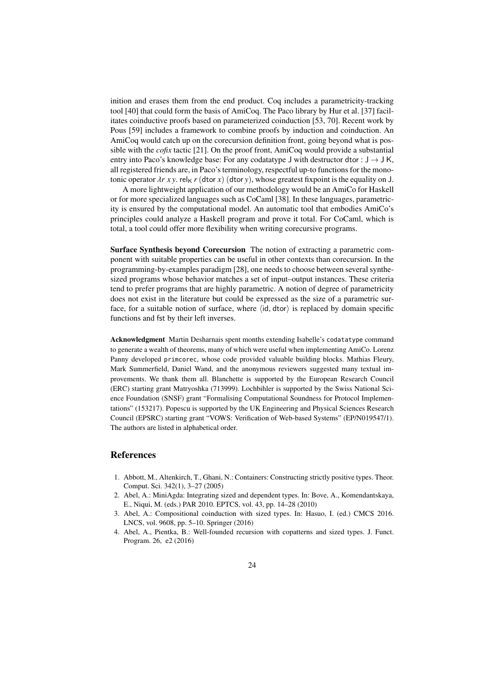inition and erases them from the end product. Coq includes a parametricity-tracking tool [\[40\]](#page-25-20) that could form the basis of AmiCoq. The Paco library by Hur et al. [\[37\]](#page-25-9) facilitates coinductive proofs based on parameterized coinduction [\[53,](#page-26-19) [70\]](#page-26-20). Recent work by Pous [\[59\]](#page-26-21) includes a framework to combine proofs by induction and coinduction. An AmiCoq would catch up on the corecursion definition front, going beyond what is possible with the *cofix* tactic [\[21\]](#page-24-15). On the proof front, AmiCoq would provide a substantial entry into Paco's knowledge base: For any codatatype J with destructor dtor :  $J \rightarrow J K$ , all registered friends are, in Paco's terminology, respectful up-to functions for the monotonic operator  $\lambda r$  *x* y. rel<sub>K</sub> *r* (dtor *x*) (dtor *y*), whose greatest fixpoint is the equality on J.

A more lightweight application of our methodology would be an AmiCo for Haskell or for more specialized languages such as CoCaml [\[38\]](#page-25-21). In these languages, parametricity is ensured by the computational model. An automatic tool that embodies AmiCo's principles could analyze a Haskell program and prove it total. For CoCaml, which is total, a tool could offer more flexibility when writing corecursive programs.

Surface Synthesis beyond Corecursion The notion of extracting a parametric component with suitable properties can be useful in other contexts than corecursion. In the programming-by-examples paradigm [\[28\]](#page-25-22), one needs to choose between several synthesized programs whose behavior matches a set of input–output instances. These criteria tend to prefer programs that are highly parametric. A notion of degree of parametricity does not exist in the literature but could be expressed as the size of a parametric surface, for a suitable notion of surface, where  $\langle id, \text{dtor} \rangle$  is replaced by domain specific functions and fst by their left inverses.

Acknowledgment Martin Desharnais spent months extending Isabelle's codatatype command to generate a wealth of theorems, many of which were useful when implementing AmiCo. Lorenz Panny developed primcorec, whose code provided valuable building blocks. Mathias Fleury, Mark Summerfield, Daniel Wand, and the anonymous reviewers suggested many textual improvements. We thank them all. Blanchette is supported by the European Research Council (ERC) starting grant Matryoshka (713999). Lochbihler is supported by the Swiss National Science Foundation (SNSF) grant "Formalising Computational Soundness for Protocol Implementations" (153217). Popescu is supported by the UK Engineering and Physical Sciences Research Council (EPSRC) starting grant "VOWS: Verification of Web-based Systems" (EP/N019547/1). The authors are listed in alphabetical order.

## References

- <span id="page-23-0"></span>1. Abbott, M., Altenkirch, T., Ghani, N.: Containers: Constructing strictly positive types. Theor. Comput. Sci. 342(1), 3–27 (2005)
- <span id="page-23-3"></span>2. Abel, A.: MiniAgda: Integrating sized and dependent types. In: Bove, A., Komendantskaya, E., Niqui, M. (eds.) PAR 2010. EPTCS, vol. 43, pp. 14–28 (2010)
- <span id="page-23-2"></span>3. Abel, A.: Compositional coinduction with sized types. In: Hasuo, I. (ed.) CMCS 2016. LNCS, vol. 9608, pp. 5–10. Springer (2016)
- <span id="page-23-1"></span>4. Abel, A., Pientka, B.: Well-founded recursion with copatterns and sized types. J. Funct. Program. 26, e2 (2016)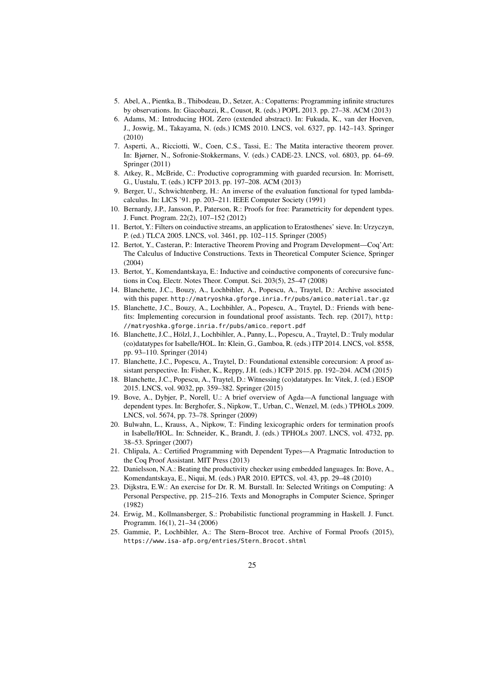- <span id="page-24-14"></span>5. Abel, A., Pientka, B., Thibodeau, D., Setzer, A.: Copatterns: Programming infinite structures by observations. In: Giacobazzi, R., Cousot, R. (eds.) POPL 2013. pp. 27–38. ACM (2013)
- <span id="page-24-9"></span>6. Adams, M.: Introducing HOL Zero (extended abstract). In: Fukuda, K., van der Hoeven, J., Joswig, M., Takayama, N. (eds.) ICMS 2010. LNCS, vol. 6327, pp. 142–143. Springer (2010)
- <span id="page-24-3"></span>7. Asperti, A., Ricciotti, W., Coen, C.S., Tassi, E.: The Matita interactive theorem prover. In: Bjørner, N., Sofronie-Stokkermans, V. (eds.) CADE-23. LNCS, vol. 6803, pp. 64–69. Springer (2011)
- <span id="page-24-0"></span>8. Atkey, R., McBride, C.: Productive coprogramming with guarded recursion. In: Morrisett, G., Uustalu, T. (eds.) ICFP 2013. pp. 197–208. ACM (2013)
- <span id="page-24-16"></span>9. Berger, U., Schwichtenberg, H.: An inverse of the evaluation functional for typed lambdacalculus. In: LICS '91. pp. 203–211. IEEE Computer Society (1991)
- <span id="page-24-20"></span>10. Bernardy, J.P., Jansson, P., Paterson, R.: Proofs for free: Parametricity for dependent types. J. Funct. Program. 22(2), 107–152 (2012)
- <span id="page-24-12"></span>11. Bertot, Y.: Filters on coinductive streams, an application to Eratosthenes' sieve. In: Urzyczyn, P. (ed.) TLCA 2005. LNCS, vol. 3461, pp. 102–115. Springer (2005)
- <span id="page-24-2"></span>12. Bertot, Y., Casteran, P.: Interactive Theorem Proving and Program Development—Coq'Art: The Calculus of Inductive Constructions. Texts in Theoretical Computer Science, Springer (2004)
- <span id="page-24-13"></span>13. Bertot, Y., Komendantskaya, E.: Inductive and coinductive components of corecursive functions in Coq. Electr. Notes Theor. Comput. Sci. 203(5), 25–47 (2008)
- <span id="page-24-7"></span>14. Blanchette, J.C., Bouzy, A., Lochbihler, A., Popescu, A., Traytel, D.: Archive associated with this paper. [http://matryoshka.gforge.inria.fr/pubs/amico\\_material.tar.gz](http://matryoshka.gforge.inria.fr/pubs/amico_material.tar.gz)
- <span id="page-24-8"></span>15. Blanchette, J.C., Bouzy, A., Lochbihler, A., Popescu, A., Traytel, D.: Friends with benefits: Implementing corecursion in foundational proof assistants. Tech. rep. (2017), [http:](http://matryoshka.gforge.inria.fr/pubs/amico_report.pdf) [//matryoshka.gforge.inria.fr/pubs/amico\\_report.pdf](http://matryoshka.gforge.inria.fr/pubs/amico_report.pdf)
- <span id="page-24-5"></span>16. Blanchette, J.C., Hölzl, J., Lochbihler, A., Panny, L., Popescu, A., Traytel, D.: Truly modular (co)datatypes for Isabelle/HOL. In: Klein, G., Gamboa, R. (eds.) ITP 2014. LNCS, vol. 8558, pp. 93–110. Springer (2014)
- <span id="page-24-6"></span>17. Blanchette, J.C., Popescu, A., Traytel, D.: Foundational extensible corecursion: A proof assistant perspective. In: Fisher, K., Reppy, J.H. (eds.) ICFP 2015. pp. 192–204. ACM (2015)
- <span id="page-24-4"></span>18. Blanchette, J.C., Popescu, A., Traytel, D.: Witnessing (co)datatypes. In: Vitek, J. (ed.) ESOP 2015. LNCS, vol. 9032, pp. 359–382. Springer (2015)
- <span id="page-24-1"></span>19. Bove, A., Dybjer, P., Norell, U.: A brief overview of Agda—A functional language with dependent types. In: Berghofer, S., Nipkow, T., Urban, C., Wenzel, M. (eds.) TPHOLs 2009. LNCS, vol. 5674, pp. 73–78. Springer (2009)
- <span id="page-24-18"></span>20. Bulwahn, L., Krauss, A., Nipkow, T.: Finding lexicographic orders for termination proofs in Isabelle/HOL. In: Schneider, K., Brandt, J. (eds.) TPHOLs 2007. LNCS, vol. 4732, pp. 38–53. Springer (2007)
- <span id="page-24-15"></span>21. Chlipala, A.: Certified Programming with Dependent Types—A Pragmatic Introduction to the Coq Proof Assistant. MIT Press (2013)
- <span id="page-24-19"></span>22. Danielsson, N.A.: Beating the productivity checker using embedded languages. In: Bove, A., Komendantskaya, E., Niqui, M. (eds.) PAR 2010. EPTCS, vol. 43, pp. 29–48 (2010)
- <span id="page-24-11"></span>23. Dijkstra, E.W.: An exercise for Dr. R. M. Burstall. In: Selected Writings on Computing: A Personal Perspective, pp. 215–216. Texts and Monographs in Computer Science, Springer (1982)
- <span id="page-24-17"></span>24. Erwig, M., Kollmansberger, S.: Probabilistic functional programming in Haskell. J. Funct. Programm. 16(1), 21–34 (2006)
- <span id="page-24-10"></span>25. Gammie, P., Lochbihler, A.: The Stern–Brocot tree. Archive of Formal Proofs (2015), [https://www.isa-afp.org/entries/Stern\\_Brocot.shtml](https://www.isa-afp.org/entries/Stern_Brocot.shtml)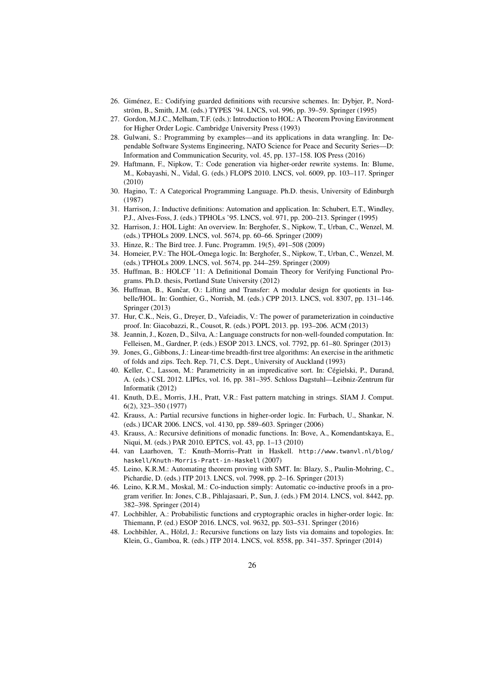- <span id="page-25-13"></span>26. Giménez, E.: Codifying guarded definitions with recursive schemes. In: Dybjer, P., Nordström, B., Smith, J.M. (eds.) TYPES '94. LNCS, vol. 996, pp. 39–59. Springer (1995)
- <span id="page-25-3"></span>27. Gordon, M.J.C., Melham, T.F. (eds.): Introduction to HOL: A Theorem Proving Environment for Higher Order Logic. Cambridge University Press (1993)
- <span id="page-25-22"></span>28. Gulwani, S.: Programming by examples—and its applications in data wrangling. In: Dependable Software Systems Engineering, NATO Science for Peace and Security Series—D: Information and Communication Security, vol. 45, pp. 137–158. IOS Press (2016)
- <span id="page-25-18"></span>29. Haftmann, F., Nipkow, T.: Code generation via higher-order rewrite systems. In: Blume, M., Kobayashi, N., Vidal, G. (eds.) FLOPS 2010. LNCS, vol. 6009, pp. 103–117. Springer (2010)
- <span id="page-25-0"></span>30. Hagino, T.: A Categorical Programming Language. Ph.D. thesis, University of Edinburgh (1987)
- <span id="page-25-16"></span>31. Harrison, J.: Inductive definitions: Automation and application. In: Schubert, E.T., Windley, P.J., Alves-Foss, J. (eds.) TPHOLs '95. LNCS, vol. 971, pp. 200–213. Springer (1995)
- <span id="page-25-1"></span>32. Harrison, J.: HOL Light: An overview. In: Berghofer, S., Nipkow, T., Urban, C., Wenzel, M. (eds.) TPHOLs 2009. LNCS, vol. 5674, pp. 60–66. Springer (2009)
- <span id="page-25-7"></span>33. Hinze, R.: The Bird tree. J. Func. Programm. 19(5), 491–508 (2009)
- <span id="page-25-2"></span>34. Homeier, P.V.: The HOL-Omega logic. In: Berghofer, S., Nipkow, T., Urban, C., Wenzel, M. (eds.) TPHOLs 2009. LNCS, vol. 5674, pp. 244–259. Springer (2009)
- <span id="page-25-17"></span>35. Huffman, B.: HOLCF '11: A Definitional Domain Theory for Verifying Functional Programs. Ph.D. thesis, Portland State University (2012)
- <span id="page-25-19"></span>36. Huffman, B., Kunčar, O.: Lifting and Transfer: A modular design for quotients in Isabelle/HOL. In: Gonthier, G., Norrish, M. (eds.) CPP 2013. LNCS, vol. 8307, pp. 131–146. Springer (2013)
- <span id="page-25-9"></span>37. Hur, C.K., Neis, G., Dreyer, D., Vafeiadis, V.: The power of parameterization in coinductive proof. In: Giacobazzi, R., Cousot, R. (eds.) POPL 2013. pp. 193–206. ACM (2013)
- <span id="page-25-21"></span>38. Jeannin, J., Kozen, D., Silva, A.: Language constructs for non-well-founded computation. In: Felleisen, M., Gardner, P. (eds.) ESOP 2013. LNCS, vol. 7792, pp. 61–80. Springer (2013)
- <span id="page-25-8"></span>39. Jones, G., Gibbons, J.: Linear-time breadth-first tree algorithms: An exercise in the arithmetic of folds and zips. Tech. Rep. 71, C.S. Dept., University of Auckland (1993)
- <span id="page-25-20"></span>40. Keller, C., Lasson, M.: Parametricity in an impredicative sort. In: Cégielski, P., Durand, A. (eds.) CSL 2012. LIPIcs, vol. 16, pp. 381–395. Schloss Dagstuhl—Leibniz-Zentrum für Informatik (2012)
- <span id="page-25-6"></span>41. Knuth, D.E., Morris, J.H., Pratt, V.R.: Fast pattern matching in strings. SIAM J. Comput. 6(2), 323–350 (1977)
- <span id="page-25-14"></span>42. Krauss, A.: Partial recursive functions in higher-order logic. In: Furbach, U., Shankar, N. (eds.) IJCAR 2006. LNCS, vol. 4130, pp. 589–603. Springer (2006)
- <span id="page-25-15"></span>43. Krauss, A.: Recursive definitions of monadic functions. In: Bove, A., Komendantskaya, E., Niqui, M. (eds.) PAR 2010. EPTCS, vol. 43, pp. 1–13 (2010)
- <span id="page-25-5"></span>44. van Laarhoven, T.: Knuth–Morris–Pratt in Haskell. [http://www.twanvl.nl/blog/](http://www.twanvl.nl/blog/haskell/Knuth-Morris-Pratt-in-Haskell) [haskell/Knuth-Morris-Pratt-in-Haskell](http://www.twanvl.nl/blog/haskell/Knuth-Morris-Pratt-in-Haskell) (2007)
- <span id="page-25-10"></span>45. Leino, K.R.M.: Automating theorem proving with SMT. In: Blazy, S., Paulin-Mohring, C., Pichardie, D. (eds.) ITP 2013. LNCS, vol. 7998, pp. 2–16. Springer (2013)
- <span id="page-25-4"></span>46. Leino, K.R.M., Moskal, M.: Co-induction simply: Automatic co-inductive proofs in a program verifier. In: Jones, C.B., Pihlajasaari, P., Sun, J. (eds.) FM 2014. LNCS, vol. 8442, pp. 382–398. Springer (2014)
- <span id="page-25-12"></span>47. Lochbihler, A.: Probabilistic functions and cryptographic oracles in higher-order logic. In: Thiemann, P. (ed.) ESOP 2016. LNCS, vol. 9632, pp. 503–531. Springer (2016)
- <span id="page-25-11"></span>48. Lochbihler, A., Hölzl, J.: Recursive functions on lazy lists via domains and topologies. In: Klein, G., Gamboa, R. (eds.) ITP 2014. LNCS, vol. 8558, pp. 341–357. Springer (2014)